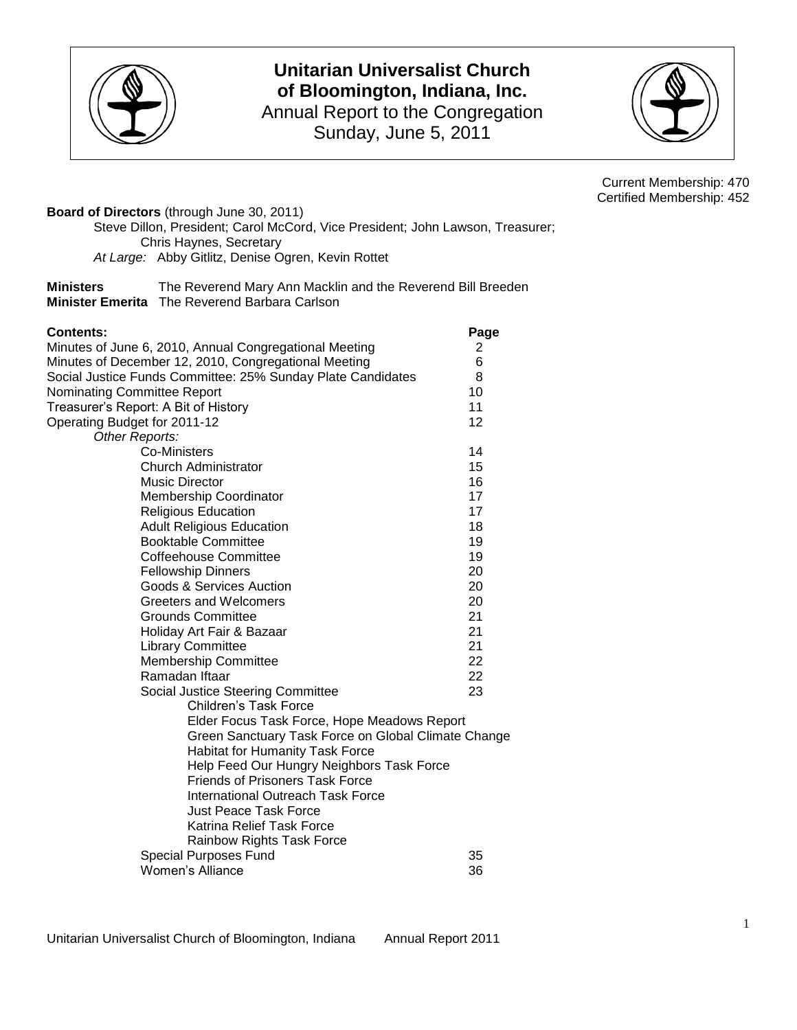

## **Unitarian Universalist Church of Bloomington, Indiana, Inc.** Annual Report to the Congregation Sunday, June 5, 2011



Current Membership: 470 Certified Membership: 452

**Board of Directors** (through June 30, 2011) Steve Dillon, President; Carol McCord, Vice President; John Lawson, Treasurer; Chris Haynes, Secretary *At Large:* Abby Gitlitz, Denise Ogren, Kevin Rottet

| <b>Ministers</b> | The Reverend Mary Ann Macklin and the Reverend Bill Breeden |
|------------------|-------------------------------------------------------------|
|                  | <b>Minister Emerita</b> The Reverend Barbara Carlson        |

| <b>Contents:</b>                                                                                                    | Page     |
|---------------------------------------------------------------------------------------------------------------------|----------|
| Minutes of June 6, 2010, Annual Congregational Meeting                                                              | 2<br>6   |
| Minutes of December 12, 2010, Congregational Meeting<br>Social Justice Funds Committee: 25% Sunday Plate Candidates | 8        |
|                                                                                                                     | 10       |
| Nominating Committee Report                                                                                         | 11       |
| Treasurer's Report: A Bit of History                                                                                | 12       |
| Operating Budget for 2011-12                                                                                        |          |
| Other Reports:<br><b>Co-Ministers</b>                                                                               | 14       |
|                                                                                                                     | 15       |
| <b>Church Administrator</b><br><b>Music Director</b>                                                                | 16       |
|                                                                                                                     |          |
| <b>Membership Coordinator</b>                                                                                       | 17<br>17 |
| <b>Religious Education</b>                                                                                          |          |
| <b>Adult Religious Education</b><br><b>Booktable Committee</b>                                                      | 18<br>19 |
|                                                                                                                     |          |
| Coffeehouse Committee                                                                                               | 19       |
| <b>Fellowship Dinners</b>                                                                                           | 20       |
| Goods & Services Auction<br>Greeters and Welcomers                                                                  | 20<br>20 |
| <b>Grounds Committee</b>                                                                                            | 21       |
|                                                                                                                     | 21       |
| Holiday Art Fair & Bazaar                                                                                           |          |
| <b>Library Committee</b>                                                                                            | 21       |
| <b>Membership Committee</b>                                                                                         | 22       |
| Ramadan Iftaar                                                                                                      | 22       |
| Social Justice Steering Committee                                                                                   | 23       |
| Children's Task Force                                                                                               |          |
| Elder Focus Task Force, Hope Meadows Report                                                                         |          |
| Green Sanctuary Task Force on Global Climate Change                                                                 |          |
| Habitat for Humanity Task Force                                                                                     |          |
| Help Feed Our Hungry Neighbors Task Force                                                                           |          |
| <b>Friends of Prisoners Task Force</b>                                                                              |          |
| International Outreach Task Force                                                                                   |          |
| Just Peace Task Force                                                                                               |          |
| Katrina Relief Task Force                                                                                           |          |
| <b>Rainbow Rights Task Force</b>                                                                                    |          |
| <b>Special Purposes Fund</b>                                                                                        | 35       |
| <b>Women's Alliance</b>                                                                                             | 36       |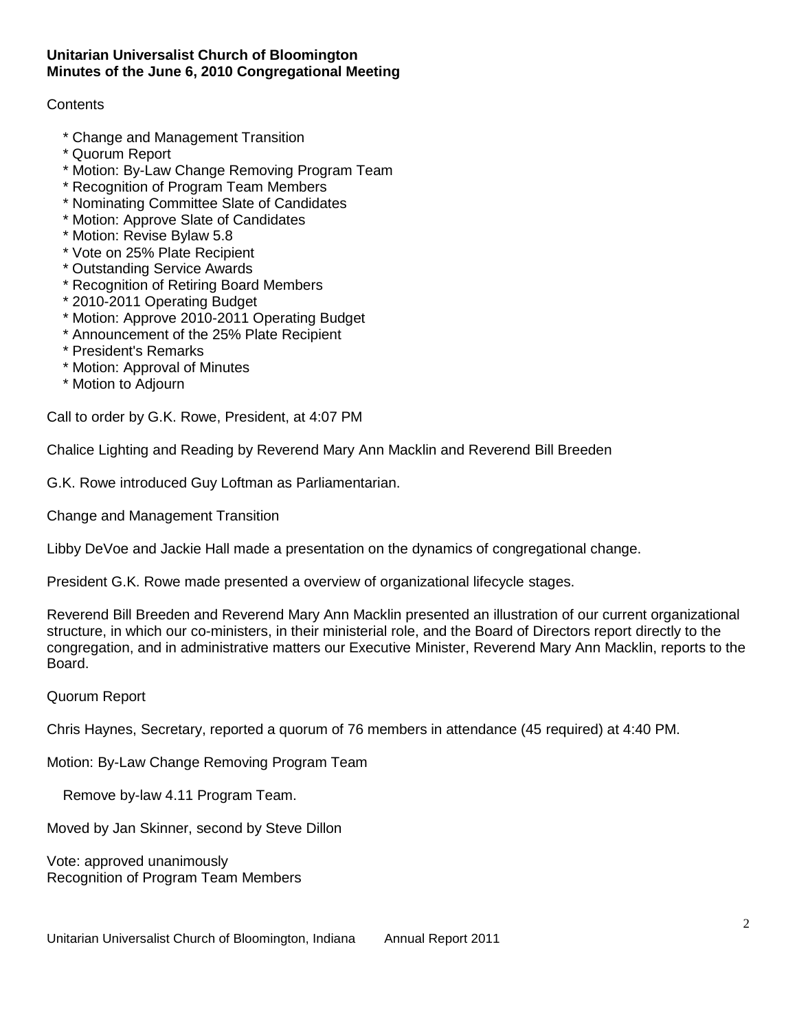### **Unitarian Universalist Church of Bloomington Minutes of the June 6, 2010 Congregational Meeting**

### **Contents**

- \* Change and Management Transition
- \* Quorum Report
- \* Motion: By-Law Change Removing Program Team
- \* Recognition of Program Team Members
- \* Nominating Committee Slate of Candidates
- \* Motion: Approve Slate of Candidates
- \* Motion: Revise Bylaw 5.8
- \* Vote on 25% Plate Recipient
- \* Outstanding Service Awards
- \* Recognition of Retiring Board Members
- \* 2010-2011 Operating Budget
- \* Motion: Approve 2010-2011 Operating Budget
- \* Announcement of the 25% Plate Recipient
- \* President's Remarks
- \* Motion: Approval of Minutes
- \* Motion to Adjourn

Call to order by G.K. Rowe, President, at 4:07 PM

Chalice Lighting and Reading by Reverend Mary Ann Macklin and Reverend Bill Breeden

G.K. Rowe introduced Guy Loftman as Parliamentarian.

Change and Management Transition

Libby DeVoe and Jackie Hall made a presentation on the dynamics of congregational change.

President G.K. Rowe made presented a overview of organizational lifecycle stages.

Reverend Bill Breeden and Reverend Mary Ann Macklin presented an illustration of our current organizational structure, in which our co-ministers, in their ministerial role, and the Board of Directors report directly to the congregation, and in administrative matters our Executive Minister, Reverend Mary Ann Macklin, reports to the Board.

#### Quorum Report

Chris Haynes, Secretary, reported a quorum of 76 members in attendance (45 required) at 4:40 PM.

Motion: By-Law Change Removing Program Team

Remove by-law 4.11 Program Team.

Moved by Jan Skinner, second by Steve Dillon

Vote: approved unanimously Recognition of Program Team Members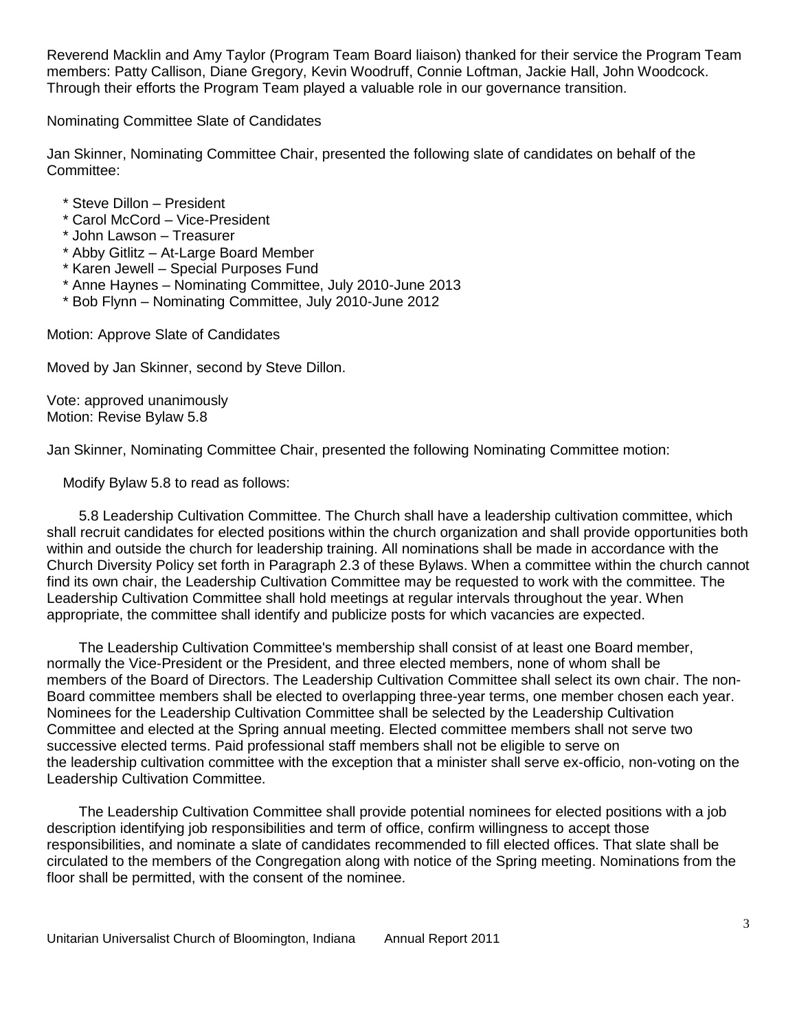Reverend Macklin and Amy Taylor (Program Team Board liaison) thanked for their service the Program Team members: Patty Callison, Diane Gregory, Kevin Woodruff, Connie Loftman, Jackie Hall, John Woodcock. Through their efforts the Program Team played a valuable role in our governance transition.

Nominating Committee Slate of Candidates

Jan Skinner, Nominating Committee Chair, presented the following slate of candidates on behalf of the Committee:

- \* Steve Dillon President
- \* Carol McCord Vice-President
- \* John Lawson Treasurer
- \* Abby Gitlitz At-Large Board Member
- \* Karen Jewell Special Purposes Fund
- \* Anne Haynes Nominating Committee, July 2010-June 2013
- \* Bob Flynn Nominating Committee, July 2010-June 2012

Motion: Approve Slate of Candidates

Moved by Jan Skinner, second by Steve Dillon.

Vote: approved unanimously Motion: Revise Bylaw 5.8

Jan Skinner, Nominating Committee Chair, presented the following Nominating Committee motion:

Modify Bylaw 5.8 to read as follows:

 5.8 Leadership Cultivation Committee. The Church shall have a leadership cultivation committee, which shall recruit candidates for elected positions within the church organization and shall provide opportunities both within and outside the church for leadership training. All nominations shall be made in accordance with the Church Diversity Policy set forth in Paragraph 2.3 of these Bylaws. When a committee within the church cannot find its own chair, the Leadership Cultivation Committee may be requested to work with the committee. The Leadership Cultivation Committee shall hold meetings at regular intervals throughout the year. When appropriate, the committee shall identify and publicize posts for which vacancies are expected.

 The Leadership Cultivation Committee's membership shall consist of at least one Board member, normally the Vice-President or the President, and three elected members, none of whom shall be members of the Board of Directors. The Leadership Cultivation Committee shall select its own chair. The non-Board committee members shall be elected to overlapping three-year terms, one member chosen each year. Nominees for the Leadership Cultivation Committee shall be selected by the Leadership Cultivation Committee and elected at the Spring annual meeting. Elected committee members shall not serve two successive elected terms. Paid professional staff members shall not be eligible to serve on the leadership cultivation committee with the exception that a minister shall serve ex-officio, non-voting on the Leadership Cultivation Committee.

 The Leadership Cultivation Committee shall provide potential nominees for elected positions with a job description identifying job responsibilities and term of office, confirm willingness to accept those responsibilities, and nominate a slate of candidates recommended to fill elected offices. That slate shall be circulated to the members of the Congregation along with notice of the Spring meeting. Nominations from the floor shall be permitted, with the consent of the nominee.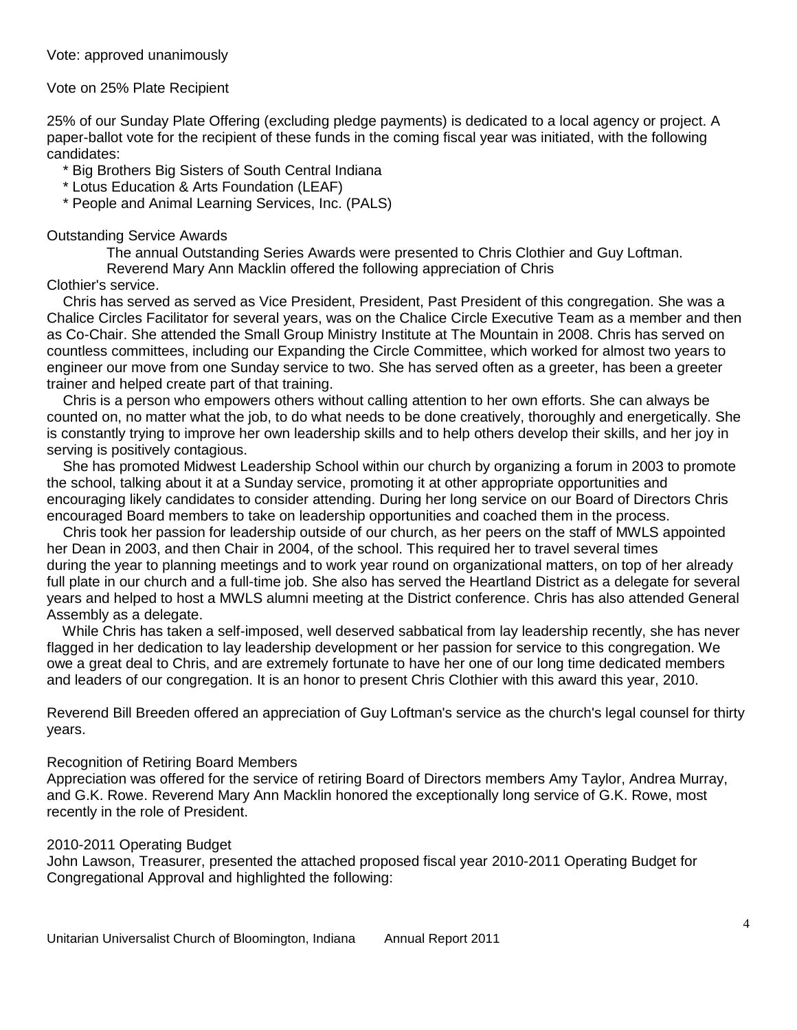#### Vote on 25% Plate Recipient

25% of our Sunday Plate Offering (excluding pledge payments) is dedicated to a local agency or project. A paper-ballot vote for the recipient of these funds in the coming fiscal year was initiated, with the following candidates:

\* Big Brothers Big Sisters of South Central Indiana

\* Lotus Education & Arts Foundation (LEAF)

\* People and Animal Learning Services, Inc. (PALS)

#### Outstanding Service Awards

The annual Outstanding Series Awards were presented to Chris Clothier and Guy Loftman.

Reverend Mary Ann Macklin offered the following appreciation of Chris

#### Clothier's service.

 Chris has served as served as Vice President, President, Past President of this congregation. She was a Chalice Circles Facilitator for several years, was on the Chalice Circle Executive Team as a member and then as Co-Chair. She attended the Small Group Ministry Institute at The Mountain in 2008. Chris has served on countless committees, including our Expanding the Circle Committee, which worked for almost two years to engineer our move from one Sunday service to two. She has served often as a greeter, has been a greeter trainer and helped create part of that training.

 Chris is a person who empowers others without calling attention to her own efforts. She can always be counted on, no matter what the job, to do what needs to be done creatively, thoroughly and energetically. She is constantly trying to improve her own leadership skills and to help others develop their skills, and her joy in serving is positively contagious.

 She has promoted Midwest Leadership School within our church by organizing a forum in 2003 to promote the school, talking about it at a Sunday service, promoting it at other appropriate opportunities and encouraging likely candidates to consider attending. During her long service on our Board of Directors Chris encouraged Board members to take on leadership opportunities and coached them in the process.

 Chris took her passion for leadership outside of our church, as her peers on the staff of MWLS appointed her Dean in 2003, and then Chair in 2004, of the school. This required her to travel several times during the year to planning meetings and to work year round on organizational matters, on top of her already full plate in our church and a full-time job. She also has served the Heartland District as a delegate for several years and helped to host a MWLS alumni meeting at the District conference. Chris has also attended General Assembly as a delegate.

 While Chris has taken a self-imposed, well deserved sabbatical from lay leadership recently, she has never flagged in her dedication to lay leadership development or her passion for service to this congregation. We owe a great deal to Chris, and are extremely fortunate to have her one of our long time dedicated members and leaders of our congregation. It is an honor to present Chris Clothier with this award this year, 2010.

Reverend Bill Breeden offered an appreciation of Guy Loftman's service as the church's legal counsel for thirty years.

#### Recognition of Retiring Board Members

Appreciation was offered for the service of retiring Board of Directors members Amy Taylor, Andrea Murray, and G.K. Rowe. Reverend Mary Ann Macklin honored the exceptionally long service of G.K. Rowe, most recently in the role of President.

#### 2010-2011 Operating Budget

John Lawson, Treasurer, presented the attached proposed fiscal year 2010-2011 Operating Budget for Congregational Approval and highlighted the following: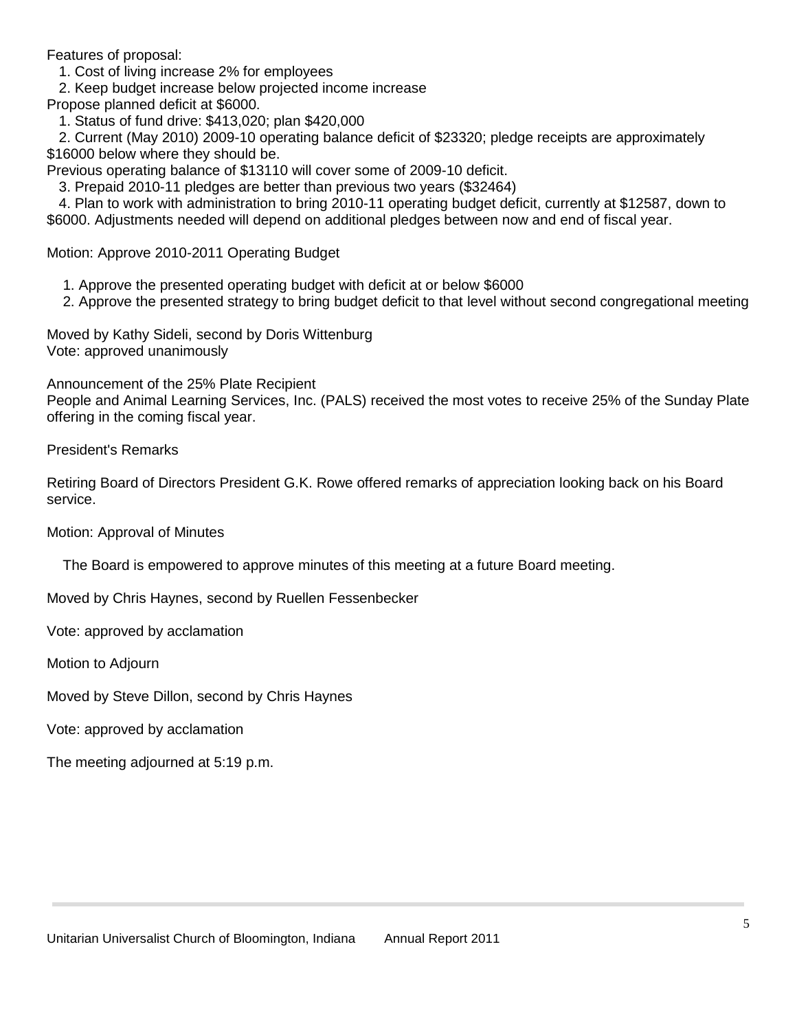Features of proposal:

1. Cost of living increase 2% for employees

2. Keep budget increase below projected income increase

Propose planned deficit at \$6000.

1. Status of fund drive: \$413,020; plan \$420,000

 2. Current (May 2010) 2009-10 operating balance deficit of \$23320; pledge receipts are approximately \$16000 below where they should be.

Previous operating balance of \$13110 will cover some of 2009-10 deficit.

3. Prepaid 2010-11 pledges are better than previous two years (\$32464)

 4. Plan to work with administration to bring 2010-11 operating budget deficit, currently at \$12587, down to \$6000. Adjustments needed will depend on additional pledges between now and end of fiscal year.

Motion: Approve 2010-2011 Operating Budget

1. Approve the presented operating budget with deficit at or below \$6000

2. Approve the presented strategy to bring budget deficit to that level without second congregational meeting

Moved by Kathy Sideli, second by Doris Wittenburg Vote: approved unanimously

Announcement of the 25% Plate Recipient

People and Animal Learning Services, Inc. (PALS) received the most votes to receive 25% of the Sunday Plate offering in the coming fiscal year.

President's Remarks

Retiring Board of Directors President G.K. Rowe offered remarks of appreciation looking back on his Board service.

Motion: Approval of Minutes

The Board is empowered to approve minutes of this meeting at a future Board meeting.

Moved by Chris Haynes, second by Ruellen Fessenbecker

Vote: approved by acclamation

Motion to Adjourn

Moved by Steve Dillon, second by Chris Haynes

Vote: approved by acclamation

The meeting adjourned at 5:19 p.m.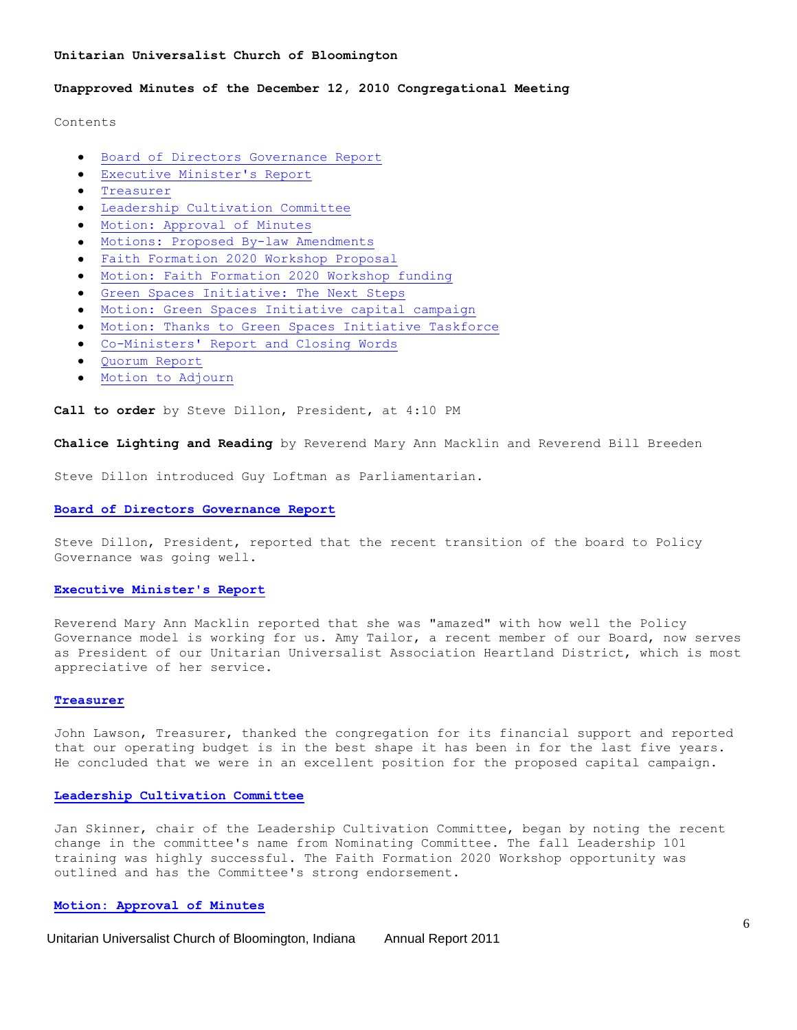#### **Unitarian Universalist Church of Bloomington**

#### **Unapproved Minutes of the December 12, 2010 Congregational Meeting**

Contents

- [Board of Directors Governance Report](http://www.uubloomington.org/webmail/src/view_text.php?mailbox=INBOX&passed_id=15&startMessage=1&override_type0=text&override_type1=html&ent_id=2#board-of-directors-governance-report)  $\bullet$
- [Executive Minister's Report](http://www.uubloomington.org/webmail/src/view_text.php?mailbox=INBOX&passed_id=15&startMessage=1&override_type0=text&override_type1=html&ent_id=2#executive-minister-s-report)
- [Treasurer](http://www.uubloomington.org/webmail/src/view_text.php?mailbox=INBOX&passed_id=15&startMessage=1&override_type0=text&override_type1=html&ent_id=2#treasurer)  $\bullet$
- [Leadership Cultivation Committee](http://www.uubloomington.org/webmail/src/view_text.php?mailbox=INBOX&passed_id=15&startMessage=1&override_type0=text&override_type1=html&ent_id=2#leadership-cultivation-committee)
- [Motion: Approval of Minutes](http://www.uubloomington.org/webmail/src/view_text.php?mailbox=INBOX&passed_id=15&startMessage=1&override_type0=text&override_type1=html&ent_id=2#motion-approval-of-minutes)
- [Motions: Proposed By-law Amendments](http://www.uubloomington.org/webmail/src/view_text.php?mailbox=INBOX&passed_id=15&startMessage=1&override_type0=text&override_type1=html&ent_id=2#motions-proposed-by-law-amendments)
- [Faith Formation 2020 Workshop Proposal](http://www.uubloomington.org/webmail/src/view_text.php?mailbox=INBOX&passed_id=15&startMessage=1&override_type0=text&override_type1=html&ent_id=2#faith-formation-2020-workshop-proposal)
- $\bullet$ [Motion: Faith Formation 2020 Workshop funding](http://www.uubloomington.org/webmail/src/view_text.php?mailbox=INBOX&passed_id=15&startMessage=1&override_type0=text&override_type1=html&ent_id=2#motion-faith-formation-2020-workshop-funding)
- [Green Spaces Initiative: The Next Steps](http://www.uubloomington.org/webmail/src/view_text.php?mailbox=INBOX&passed_id=15&startMessage=1&override_type0=text&override_type1=html&ent_id=2#green-spaces-initiative-the-next-steps)
- [Motion: Green Spaces Initiative capital campaign](http://www.uubloomington.org/webmail/src/view_text.php?mailbox=INBOX&passed_id=15&startMessage=1&override_type0=text&override_type1=html&ent_id=2#motion-green-spaces-initiative-capital-campaign)  $\bullet$
- $\bullet$ [Motion: Thanks to Green Spaces Initiative Taskforce](http://www.uubloomington.org/webmail/src/view_text.php?mailbox=INBOX&passed_id=15&startMessage=1&override_type0=text&override_type1=html&ent_id=2#motion-thanks-to-green-spaces-initiative-taskforce)
- [Co-Ministers' Report and Closing Words](http://www.uubloomington.org/webmail/src/view_text.php?mailbox=INBOX&passed_id=15&startMessage=1&override_type0=text&override_type1=html&ent_id=2#co-ministers-report-and-closing-words)
- [Quorum Report](http://www.uubloomington.org/webmail/src/view_text.php?mailbox=INBOX&passed_id=15&startMessage=1&override_type0=text&override_type1=html&ent_id=2#quorum-report)
- [Motion to Adjourn](http://www.uubloomington.org/webmail/src/view_text.php?mailbox=INBOX&passed_id=15&startMessage=1&override_type0=text&override_type1=html&ent_id=2#motion-to-adjourn)

**Call to order** by Steve Dillon, President, at 4:10 PM

**Chalice Lighting and Reading** by Reverend Mary Ann Macklin and Reverend Bill Breeden

Steve Dillon introduced Guy Loftman as Parliamentarian.

#### **[Board of Directors Governance Report](http://www.uubloomington.org/webmail/src/view_text.php?mailbox=INBOX&passed_id=15&startMessage=1&override_type0=text&override_type1=html&ent_id=2#id1)**

Steve Dillon, President, reported that the recent transition of the board to Policy Governance was going well.

#### **[Executive Minister's Report](http://www.uubloomington.org/webmail/src/view_text.php?mailbox=INBOX&passed_id=15&startMessage=1&override_type0=text&override_type1=html&ent_id=2#id2)**

Reverend Mary Ann Macklin reported that she was "amazed" with how well the Policy Governance model is working for us. Amy Tailor, a recent member of our Board, now serves as President of our Unitarian Universalist Association Heartland District, which is most appreciative of her service.

#### **[Treasurer](http://www.uubloomington.org/webmail/src/view_text.php?mailbox=INBOX&passed_id=15&startMessage=1&override_type0=text&override_type1=html&ent_id=2#id3)**

John Lawson, Treasurer, thanked the congregation for its financial support and reported that our operating budget is in the best shape it has been in for the last five years. He concluded that we were in an excellent position for the proposed capital campaign.

#### **[Leadership Cultivation Committee](http://www.uubloomington.org/webmail/src/view_text.php?mailbox=INBOX&passed_id=15&startMessage=1&override_type0=text&override_type1=html&ent_id=2#id4)**

Jan Skinner, chair of the Leadership Cultivation Committee, began by noting the recent change in the committee's name from Nominating Committee. The fall Leadership 101 training was highly successful. The Faith Formation 2020 Workshop opportunity was outlined and has the Committee's strong endorsement.

#### **[Motion: Approval of Minutes](http://www.uubloomington.org/webmail/src/view_text.php?mailbox=INBOX&passed_id=15&startMessage=1&override_type0=text&override_type1=html&ent_id=2#id5)**

Unitarian Universalist Church of Bloomington, Indiana Annual Report 2011

6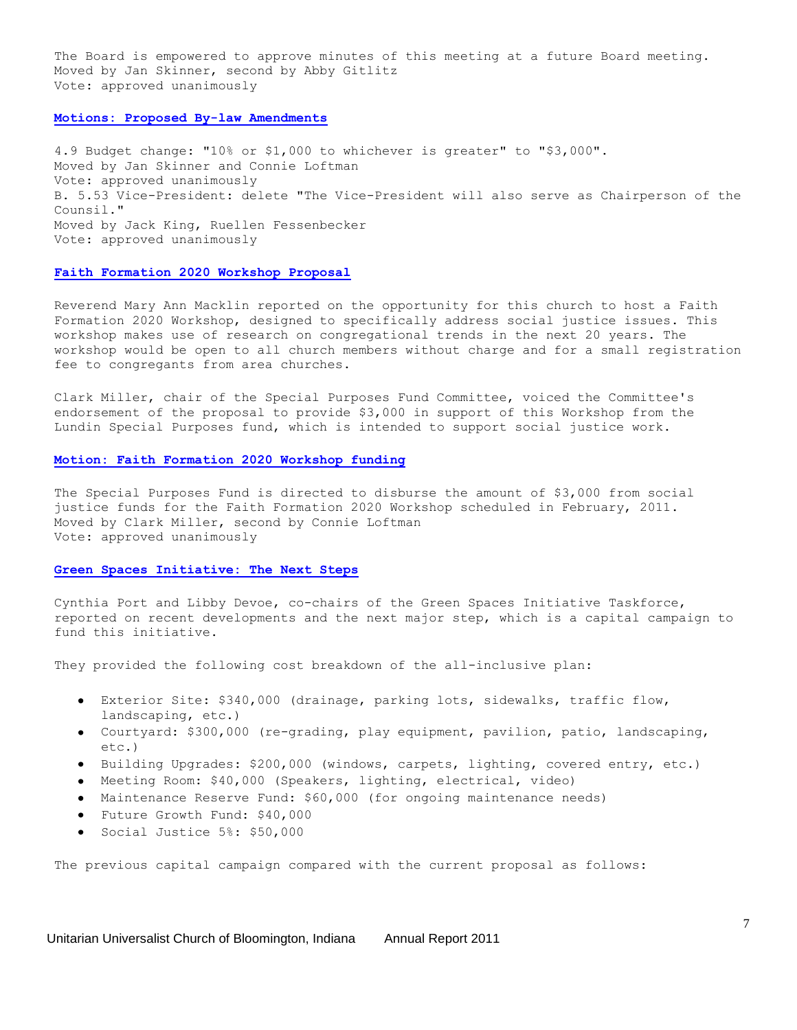The Board is empowered to approve minutes of this meeting at a future Board meeting. Moved by Jan Skinner, second by Abby Gitlitz Vote: approved unanimously

#### **[Motions: Proposed By-law Amendments](http://www.uubloomington.org/webmail/src/view_text.php?mailbox=INBOX&passed_id=15&startMessage=1&override_type0=text&override_type1=html&ent_id=2#id6)**

4.9 Budget change: "10% or \$1,000 to whichever is greater" to "\$3,000". Moved by Jan Skinner and Connie Loftman Vote: approved unanimously B. 5.53 Vice-President: delete "The Vice-President will also serve as Chairperson of the Counsil." Moved by Jack King, Ruellen Fessenbecker Vote: approved unanimously

#### **[Faith Formation 2020 Workshop Proposal](http://www.uubloomington.org/webmail/src/view_text.php?mailbox=INBOX&passed_id=15&startMessage=1&override_type0=text&override_type1=html&ent_id=2#id7)**

Reverend Mary Ann Macklin reported on the opportunity for this church to host a Faith Formation 2020 Workshop, designed to specifically address social justice issues. This workshop makes use of research on congregational trends in the next 20 years. The workshop would be open to all church members without charge and for a small registration fee to congregants from area churches.

Clark Miller, chair of the Special Purposes Fund Committee, voiced the Committee's endorsement of the proposal to provide \$3,000 in support of this Workshop from the Lundin Special Purposes fund, which is intended to support social justice work.

#### **[Motion: Faith Formation 2020 Workshop funding](http://www.uubloomington.org/webmail/src/view_text.php?mailbox=INBOX&passed_id=15&startMessage=1&override_type0=text&override_type1=html&ent_id=2#id8)**

The Special Purposes Fund is directed to disburse the amount of \$3,000 from social justice funds for the Faith Formation 2020 Workshop scheduled in February, 2011. Moved by Clark Miller, second by Connie Loftman Vote: approved unanimously

#### **[Green Spaces Initiative: The Next Steps](http://www.uubloomington.org/webmail/src/view_text.php?mailbox=INBOX&passed_id=15&startMessage=1&override_type0=text&override_type1=html&ent_id=2#id9)**

Cynthia Port and Libby Devoe, co-chairs of the Green Spaces Initiative Taskforce, reported on recent developments and the next major step, which is a capital campaign to fund this initiative.

They provided the following cost breakdown of the all-inclusive plan:

- Exterior Site: \$340,000 (drainage, parking lots, sidewalks, traffic flow, landscaping, etc.)
- Courtyard: \$300,000 (re-grading, play equipment, pavilion, patio, landscaping, etc.)
- Building Upgrades: \$200,000 (windows, carpets, lighting, covered entry, etc.)
- Meeting Room: \$40,000 (Speakers, lighting, electrical, video)
- Maintenance Reserve Fund: \$60,000 (for ongoing maintenance needs)
- Future Growth Fund: \$40,000
- Social Justice 5%: \$50,000

The previous capital campaign compared with the current proposal as follows: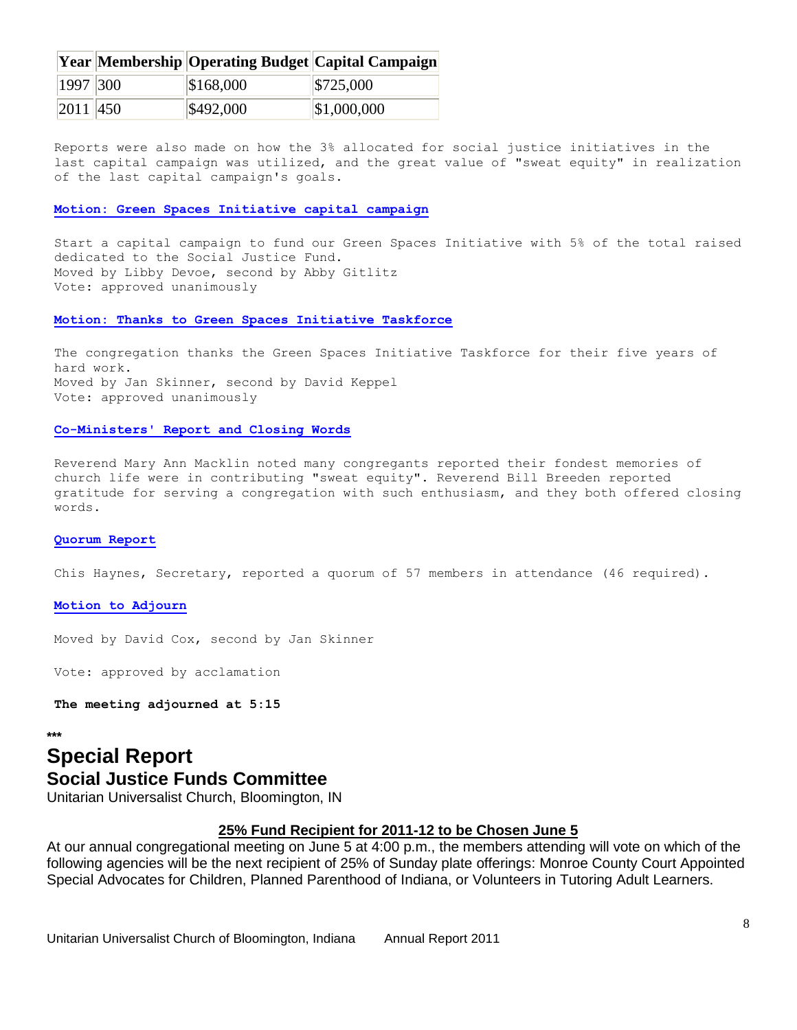|              |           | <b>Year Membership Operating Budget Capital Campaign</b> |
|--------------|-----------|----------------------------------------------------------|
| 1997 300     | \$168,000 | $\frac{$725,000}{$                                       |
| $ 2011 $ 450 | \$492,000 | $\left  \$1,000,000 \right\rangle$                       |

Reports were also made on how the 3% allocated for social justice initiatives in the last capital campaign was utilized, and the great value of "sweat equity" in realization of the last capital campaign's goals.

#### **[Motion: Green Spaces Initiative capital campaign](http://www.uubloomington.org/webmail/src/view_text.php?mailbox=INBOX&passed_id=15&startMessage=1&override_type0=text&override_type1=html&ent_id=2#id10)**

Start a capital campaign to fund our Green Spaces Initiative with 5% of the total raised dedicated to the Social Justice Fund. Moved by Libby Devoe, second by Abby Gitlitz Vote: approved unanimously

#### **[Motion: Thanks to Green Spaces Initiative Taskforce](http://www.uubloomington.org/webmail/src/view_text.php?mailbox=INBOX&passed_id=15&startMessage=1&override_type0=text&override_type1=html&ent_id=2#id11)**

The congregation thanks the Green Spaces Initiative Taskforce for their five years of hard work. Moved by Jan Skinner, second by David Keppel Vote: approved unanimously

#### **[Co-Ministers' Report and Closing Words](http://www.uubloomington.org/webmail/src/view_text.php?mailbox=INBOX&passed_id=15&startMessage=1&override_type0=text&override_type1=html&ent_id=2#id12)**

Reverend Mary Ann Macklin noted many congregants reported their fondest memories of church life were in contributing "sweat equity". Reverend Bill Breeden reported gratitude for serving a congregation with such enthusiasm, and they both offered closing words.

#### **[Quorum Report](http://www.uubloomington.org/webmail/src/view_text.php?mailbox=INBOX&passed_id=15&startMessage=1&override_type0=text&override_type1=html&ent_id=2#id13)**

Chis Haynes, Secretary, reported a quorum of 57 members in attendance (46 required).

#### **[Motion to Adjourn](http://www.uubloomington.org/webmail/src/view_text.php?mailbox=INBOX&passed_id=15&startMessage=1&override_type0=text&override_type1=html&ent_id=2#id14)**

Moved by David Cox, second by Jan Skinner

Vote: approved by acclamation

**The meeting adjourned at 5:15**

**\*\*\***

# **Special Report Social Justice Funds Committee**

Unitarian Universalist Church, Bloomington, IN

### **25% Fund Recipient for 2011-12 to be Chosen June 5**

At our annual congregational meeting on June 5 at 4:00 p.m., the members attending will vote on which of the following agencies will be the next recipient of 25% of Sunday plate offerings: Monroe County Court Appointed Special Advocates for Children, Planned Parenthood of Indiana, or Volunteers in Tutoring Adult Learners.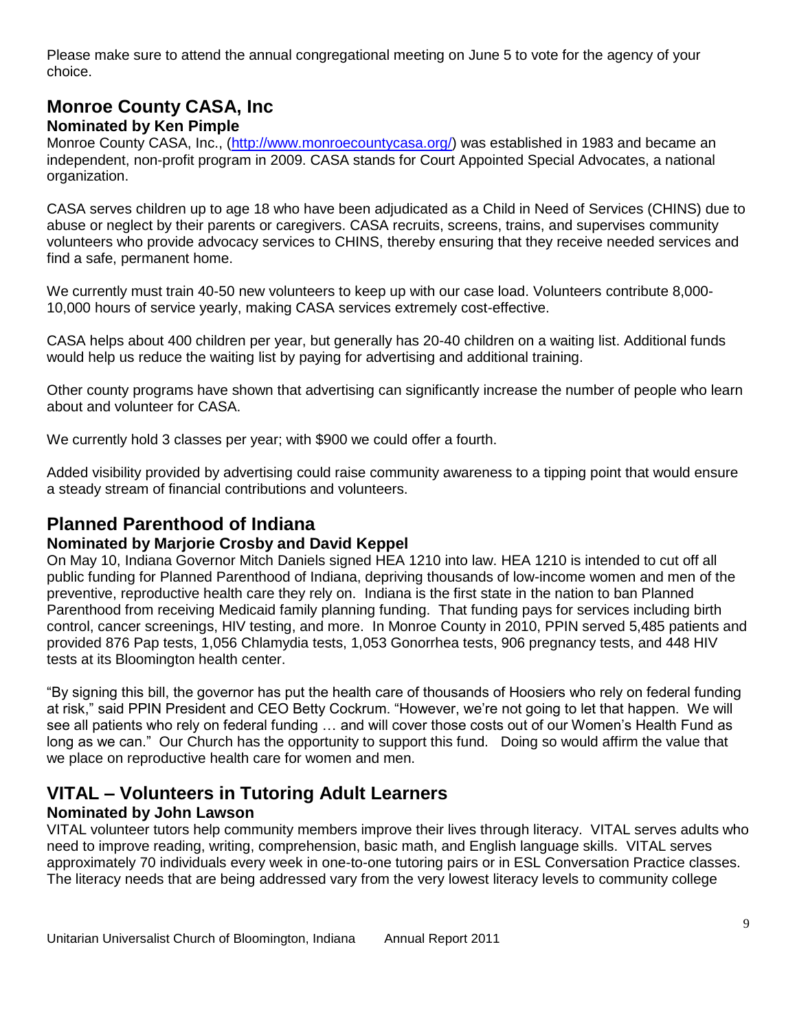Please make sure to attend the annual congregational meeting on June 5 to vote for the agency of your choice.

# **Monroe County CASA, Inc**

### **Nominated by Ken Pimple**

Monroe County CASA, Inc., [\(http://www.monroecountycasa.org/\)](http://www.monroecountycasa.org/) was established in 1983 and became an independent, non-profit program in 2009. CASA stands for Court Appointed Special Advocates, a national organization.

CASA serves children up to age 18 who have been adjudicated as a Child in Need of Services (CHINS) due to abuse or neglect by their parents or caregivers. CASA recruits, screens, trains, and supervises community volunteers who provide advocacy services to CHINS, thereby ensuring that they receive needed services and find a safe, permanent home.

We currently must train 40-50 new volunteers to keep up with our case load. Volunteers contribute 8,000- 10,000 hours of service yearly, making CASA services extremely cost-effective.

CASA helps about 400 children per year, but generally has 20-40 children on a waiting list. Additional funds would help us reduce the waiting list by paying for advertising and additional training.

Other county programs have shown that advertising can significantly increase the number of people who learn about and volunteer for CASA.

We currently hold 3 classes per year; with \$900 we could offer a fourth.

Added visibility provided by advertising could raise community awareness to a tipping point that would ensure a steady stream of financial contributions and volunteers.

## **Planned Parenthood of Indiana**

### **Nominated by Marjorie Crosby and David Keppel**

On May 10, Indiana Governor Mitch Daniels signed HEA 1210 into law. HEA 1210 is intended to cut off all public funding for Planned Parenthood of Indiana, depriving thousands of low-income women and men of the preventive, reproductive health care they rely on. Indiana is the first state in the nation to ban Planned Parenthood from receiving Medicaid family planning funding. That funding pays for services including birth control, cancer screenings, HIV testing, and more. In Monroe County in 2010, PPIN served 5,485 patients and provided 876 Pap tests, 1,056 Chlamydia tests, 1,053 Gonorrhea tests, 906 pregnancy tests, and 448 HIV tests at its Bloomington health center.

"By signing this bill, the governor has put the health care of thousands of Hoosiers who rely on federal funding at risk," said PPIN President and CEO Betty Cockrum. "However, we're not going to let that happen. We will see all patients who rely on federal funding … and will cover those costs out of our Women's Health Fund as long as we can." Our Church has the opportunity to support this fund. Doing so would affirm the value that we place on reproductive health care for women and men.

## **VITAL – Volunteers in Tutoring Adult Learners**

### **Nominated by John Lawson**

VITAL volunteer tutors help community members improve their lives through literacy. VITAL serves adults who need to improve reading, writing, comprehension, basic math, and English language skills. VITAL serves approximately 70 individuals every week in one-to-one tutoring pairs or in ESL Conversation Practice classes. The literacy needs that are being addressed vary from the very lowest literacy levels to community college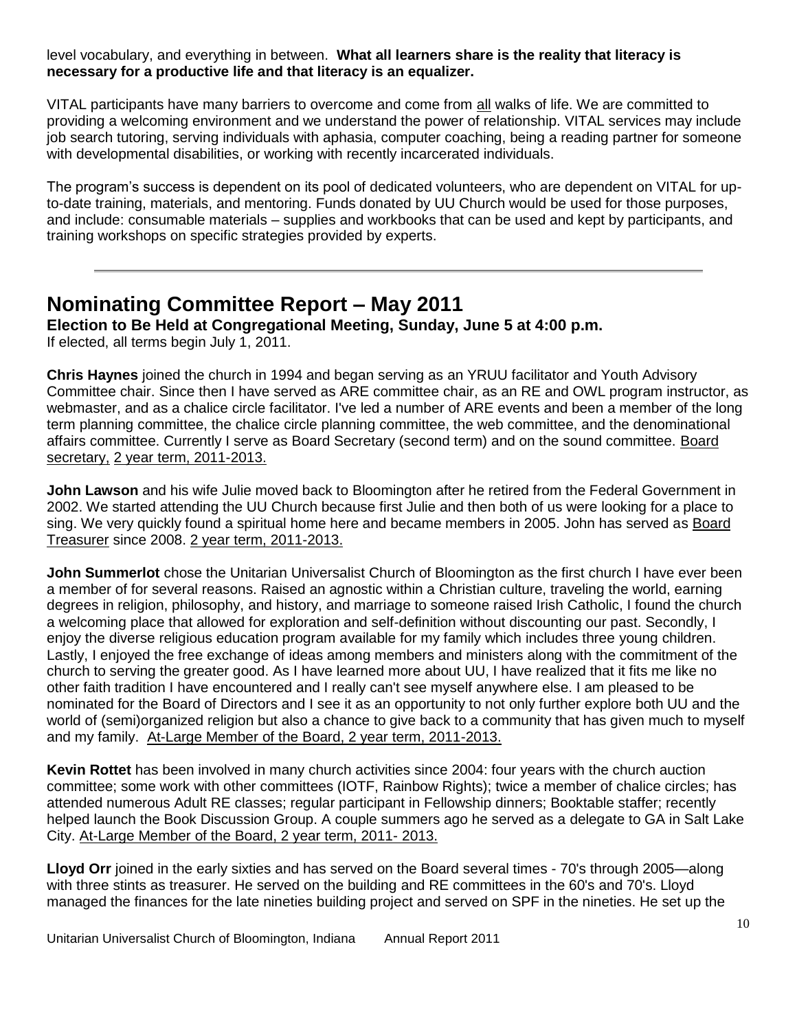level vocabulary, and everything in between. **What all learners share is the reality that literacy is necessary for a productive life and that literacy is an equalizer.** 

VITAL participants have many barriers to overcome and come from all walks of life. We are committed to providing a welcoming environment and we understand the power of relationship. VITAL services may include job search tutoring, serving individuals with aphasia, computer coaching, being a reading partner for someone with developmental disabilities, or working with recently incarcerated individuals.

The program's success is dependent on its pool of dedicated volunteers, who are dependent on VITAL for upto-date training, materials, and mentoring. Funds donated by UU Church would be used for those purposes, and include: consumable materials – supplies and workbooks that can be used and kept by participants, and training workshops on specific strategies provided by experts.

# **Nominating Committee Report – May 2011**

**Election to Be Held at Congregational Meeting, Sunday, June 5 at 4:00 p.m.**  If elected, all terms begin July 1, 2011.

**Chris Haynes** joined the church in 1994 and began serving as an YRUU facilitator and Youth Advisory Committee chair. Since then I have served as ARE committee chair, as an RE and OWL program instructor, as webmaster, and as a chalice circle facilitator. I've led a number of ARE events and been a member of the long term planning committee, the chalice circle planning committee, the web committee, and the denominational affairs committee. Currently I serve as Board Secretary (second term) and on the sound committee. Board secretary, 2 year term, 2011-2013.

**John Lawson** and his wife Julie moved back to Bloomington after he retired from the Federal Government in 2002. We started attending the UU Church because first Julie and then both of us were looking for a place to sing. We very quickly found a spiritual home here and became members in 2005. John has served as Board Treasurer since 2008. 2 year term, 2011-2013.

**John Summerlot** chose the Unitarian Universalist Church of Bloomington as the first church I have ever been a member of for several reasons. Raised an agnostic within a Christian culture, traveling the world, earning degrees in religion, philosophy, and history, and marriage to someone raised Irish Catholic, I found the church a welcoming place that allowed for exploration and self-definition without discounting our past. Secondly, I enjoy the diverse religious education program available for my family which includes three young children. Lastly, I enjoyed the free exchange of ideas among members and ministers along with the commitment of the church to serving the greater good. As I have learned more about UU, I have realized that it fits me like no other faith tradition I have encountered and I really can't see myself anywhere else. I am pleased to be nominated for the Board of Directors and I see it as an opportunity to not only further explore both UU and the world of (semi)organized religion but also a chance to give back to a community that has given much to myself and my family. At-Large Member of the Board, 2 year term, 2011-2013.

**Kevin Rottet** has been involved in many church activities since 2004: four years with the church auction committee; some work with other committees (IOTF, Rainbow Rights); twice a member of chalice circles; has attended numerous Adult RE classes; regular participant in Fellowship dinners; Booktable staffer; recently helped launch the Book Discussion Group. A couple summers ago he served as a delegate to GA in Salt Lake City. At-Large Member of the Board, 2 year term, 2011- 2013.

**Lloyd Orr** joined in the early sixties and has served on the Board several times - 70's through 2005—along with three stints as treasurer. He served on the building and RE committees in the 60's and 70's. Lloyd managed the finances for the late nineties building project and served on SPF in the nineties. He set up the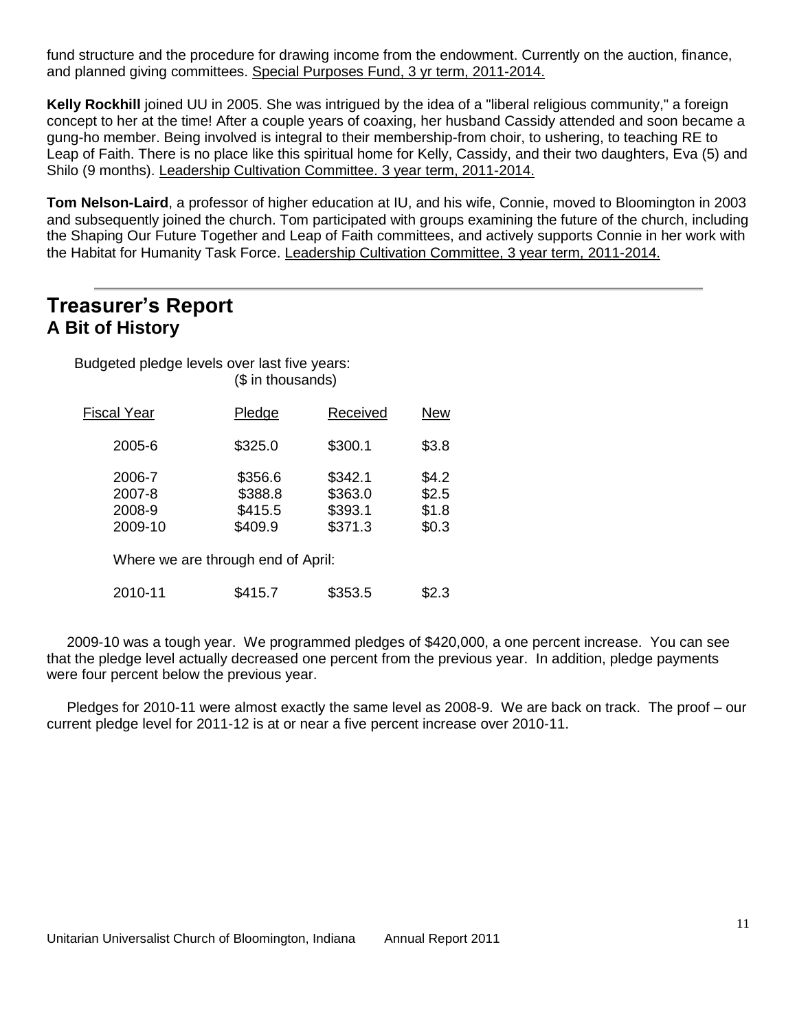fund structure and the procedure for drawing income from the endowment. Currently on the auction, finance, and planned giving committees. Special Purposes Fund, 3 yr term, 2011-2014.

**Kelly Rockhill** joined UU in 2005. She was intrigued by the idea of a "liberal religious community," a foreign concept to her at the time! After a couple years of coaxing, her husband Cassidy attended and soon became a gung-ho member. Being involved is integral to their membership-from choir, to ushering, to teaching RE to Leap of Faith. There is no place like this spiritual home for Kelly, Cassidy, and their two daughters, Eva (5) and Shilo (9 months). Leadership Cultivation Committee. 3 year term, 2011-2014.

**Tom Nelson-Laird**, a professor of higher education at IU, and his wife, Connie, moved to Bloomington in 2003 and subsequently joined the church. Tom participated with groups examining the future of the church, including the Shaping Our Future Together and Leap of Faith committees, and actively supports Connie in her work with the Habitat for Humanity Task Force. Leadership Cultivation Committee, 3 year term, 2011-2014.

# **Treasurer's Report A Bit of History**

| Budgeted pledge levels over last five years: | (\$ in thousands)                                                              |                                          |                                  |
|----------------------------------------------|--------------------------------------------------------------------------------|------------------------------------------|----------------------------------|
| <b>Fiscal Year</b>                           | Pledge                                                                         | Received                                 | <b>New</b>                       |
| 2005-6                                       | \$325.0                                                                        | \$300.1                                  | \$3.8                            |
| 2006-7<br>2007-8<br>2008-9<br>2009-10        | \$356.6<br>\$388.8<br>\$415.5<br>\$409.9<br>Where we are through end of April: | \$342.1<br>\$363.0<br>\$393.1<br>\$371.3 | \$4.2<br>\$2.5<br>\$1.8<br>\$0.3 |
| 2010-11                                      | \$415.7                                                                        | \$353.5                                  | \$2.3                            |

 2009-10 was a tough year. We programmed pledges of \$420,000, a one percent increase. You can see that the pledge level actually decreased one percent from the previous year. In addition, pledge payments were four percent below the previous year.

 Pledges for 2010-11 were almost exactly the same level as 2008-9. We are back on track. The proof – our current pledge level for 2011-12 is at or near a five percent increase over 2010-11.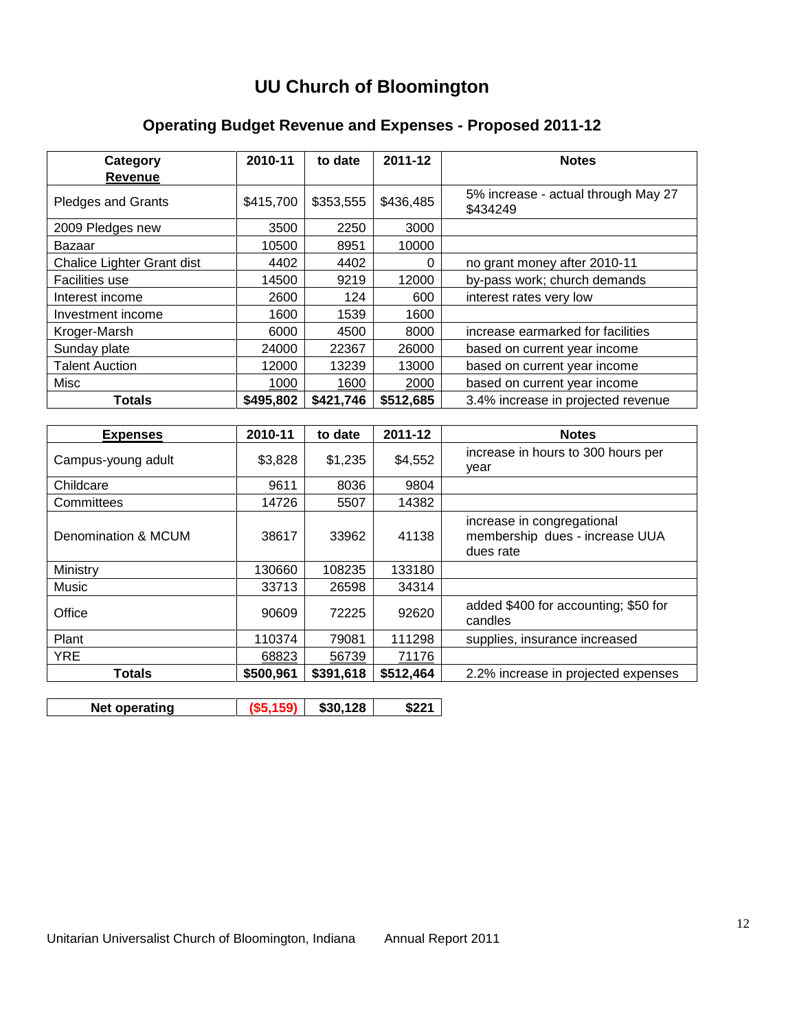# **UU Church of Bloomington**

## **Operating Budget Revenue and Expenses - Proposed 2011-12**

| Category                   | 2010-11   | to date   | 2011-12   | <b>Notes</b>                                    |
|----------------------------|-----------|-----------|-----------|-------------------------------------------------|
| <b>Revenue</b>             |           |           |           |                                                 |
| <b>Pledges and Grants</b>  | \$415,700 | \$353,555 | \$436,485 | 5% increase - actual through May 27<br>\$434249 |
| 2009 Pledges new           | 3500      | 2250      | 3000      |                                                 |
| Bazaar                     | 10500     | 8951      | 10000     |                                                 |
| Chalice Lighter Grant dist | 4402      | 4402      | $\Omega$  | no grant money after 2010-11                    |
| <b>Facilities use</b>      | 14500     | 9219      | 12000     | by-pass work; church demands                    |
| Interest income            | 2600      | 124       | 600       | interest rates very low                         |
| Investment income          | 1600      | 1539      | 1600      |                                                 |
| Kroger-Marsh               | 6000      | 4500      | 8000      | increase earmarked for facilities               |
| Sunday plate               | 24000     | 22367     | 26000     | based on current year income                    |
| <b>Talent Auction</b>      | 12000     | 13239     | 13000     | based on current year income                    |
| Misc                       | 1000      | 1600      | 2000      | based on current year income                    |
| <b>Totals</b>              | \$495,802 | \$421,746 | \$512,685 | 3.4% increase in projected revenue              |

| <b>Expenses</b>     | 2010-11   | to date   | 2011-12   | <b>Notes</b>                                                              |
|---------------------|-----------|-----------|-----------|---------------------------------------------------------------------------|
| Campus-young adult  | \$3,828   | \$1,235   | \$4,552   | increase in hours to 300 hours per<br>vear                                |
| Childcare           | 9611      | 8036      | 9804      |                                                                           |
| Committees          | 14726     | 5507      | 14382     |                                                                           |
| Denomination & MCUM | 38617     | 33962     | 41138     | increase in congregational<br>membership dues - increase UUA<br>dues rate |
| Ministry            | 130660    | 108235    | 133180    |                                                                           |
| Music               | 33713     | 26598     | 34314     |                                                                           |
| Office              | 90609     | 72225     | 92620     | added \$400 for accounting; \$50 for<br>candles                           |
| Plant               | 110374    | 79081     | 111298    | supplies, insurance increased                                             |
| <b>YRE</b>          | 68823     | 56739     | 71176     |                                                                           |
| <b>Totals</b>       | \$500,961 | \$391,618 | \$512,464 | 2.2% increase in projected expenses                                       |
|                     |           |           |           |                                                                           |

|  | <b>Net</b><br>operating |  | $\backslash$ 128<br>55 SU |  |
|--|-------------------------|--|---------------------------|--|
|--|-------------------------|--|---------------------------|--|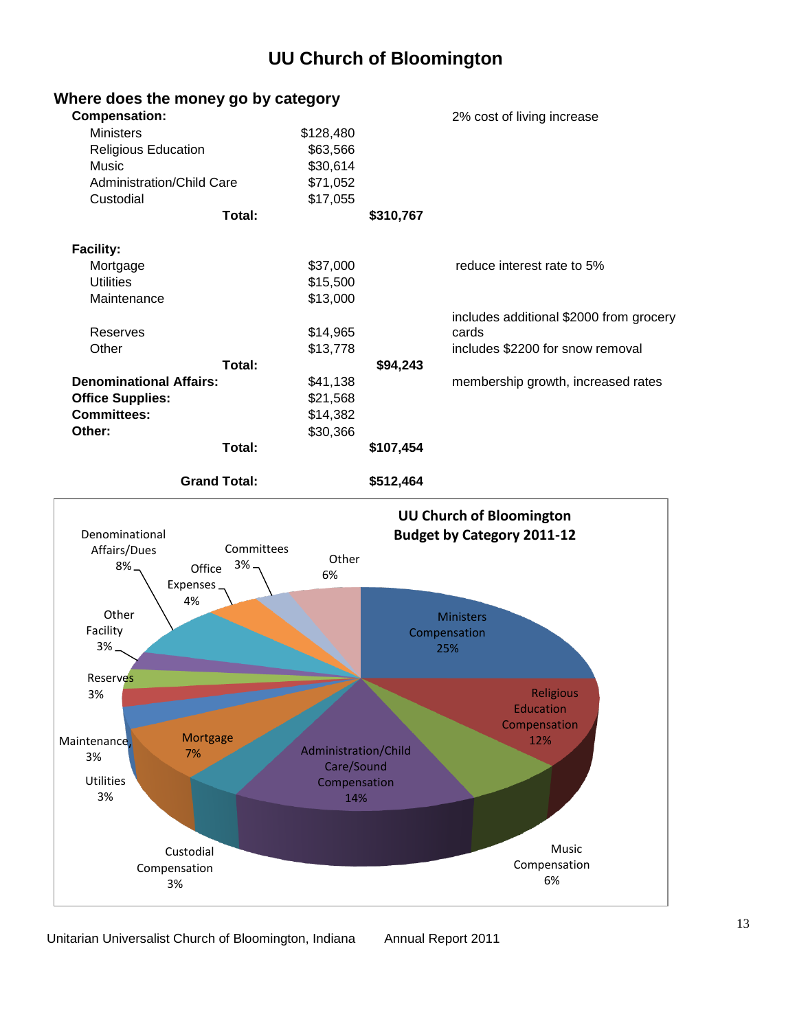# **UU Church of Bloomington**



### **Where does the money go by category**

Unitarian Universalist Church of Bloomington, Indiana Annual Report 2011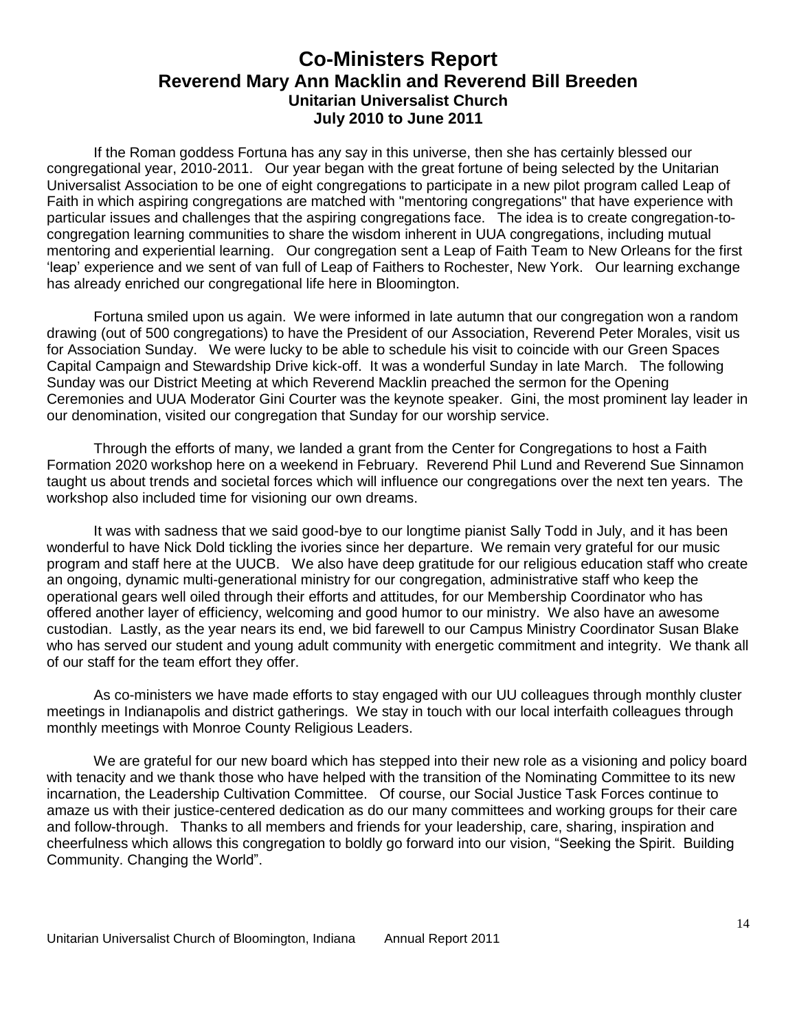### **Co-Ministers Report Reverend Mary Ann Macklin and Reverend Bill Breeden Unitarian Universalist Church July 2010 to June 2011**

If the Roman goddess Fortuna has any say in this universe, then she has certainly blessed our congregational year, 2010-2011. Our year began with the great fortune of being selected by the Unitarian Universalist Association to be one of eight congregations to participate in a new pilot program called Leap of Faith in which aspiring congregations are matched with "mentoring congregations" that have experience with particular issues and challenges that the aspiring congregations face. The idea is to create congregation-tocongregation learning communities to share the wisdom inherent in UUA congregations, including mutual mentoring and experiential learning. Our congregation sent a Leap of Faith Team to New Orleans for the first 'leap' experience and we sent of van full of Leap of Faithers to Rochester, New York. Our learning exchange has already enriched our congregational life here in Bloomington.

Fortuna smiled upon us again. We were informed in late autumn that our congregation won a random drawing (out of 500 congregations) to have the President of our Association, Reverend Peter Morales, visit us for Association Sunday. We were lucky to be able to schedule his visit to coincide with our Green Spaces Capital Campaign and Stewardship Drive kick-off. It was a wonderful Sunday in late March. The following Sunday was our District Meeting at which Reverend Macklin preached the sermon for the Opening Ceremonies and UUA Moderator Gini Courter was the keynote speaker. Gini, the most prominent lay leader in our denomination, visited our congregation that Sunday for our worship service.

Through the efforts of many, we landed a grant from the Center for Congregations to host a Faith Formation 2020 workshop here on a weekend in February. Reverend Phil Lund and Reverend Sue Sinnamon taught us about trends and societal forces which will influence our congregations over the next ten years. The workshop also included time for visioning our own dreams.

It was with sadness that we said good-bye to our longtime pianist Sally Todd in July, and it has been wonderful to have Nick Dold tickling the ivories since her departure. We remain very grateful for our music program and staff here at the UUCB. We also have deep gratitude for our religious education staff who create an ongoing, dynamic multi-generational ministry for our congregation, administrative staff who keep the operational gears well oiled through their efforts and attitudes, for our Membership Coordinator who has offered another layer of efficiency, welcoming and good humor to our ministry. We also have an awesome custodian. Lastly, as the year nears its end, we bid farewell to our Campus Ministry Coordinator Susan Blake who has served our student and young adult community with energetic commitment and integrity. We thank all of our staff for the team effort they offer.

 As co-ministers we have made efforts to stay engaged with our UU colleagues through monthly cluster meetings in Indianapolis and district gatherings. We stay in touch with our local interfaith colleagues through monthly meetings with Monroe County Religious Leaders.

We are grateful for our new board which has stepped into their new role as a visioning and policy board with tenacity and we thank those who have helped with the transition of the Nominating Committee to its new incarnation, the Leadership Cultivation Committee. Of course, our Social Justice Task Forces continue to amaze us with their justice-centered dedication as do our many committees and working groups for their care and follow-through. Thanks to all members and friends for your leadership, care, sharing, inspiration and cheerfulness which allows this congregation to boldly go forward into our vision, "Seeking the Spirit. Building Community. Changing the World".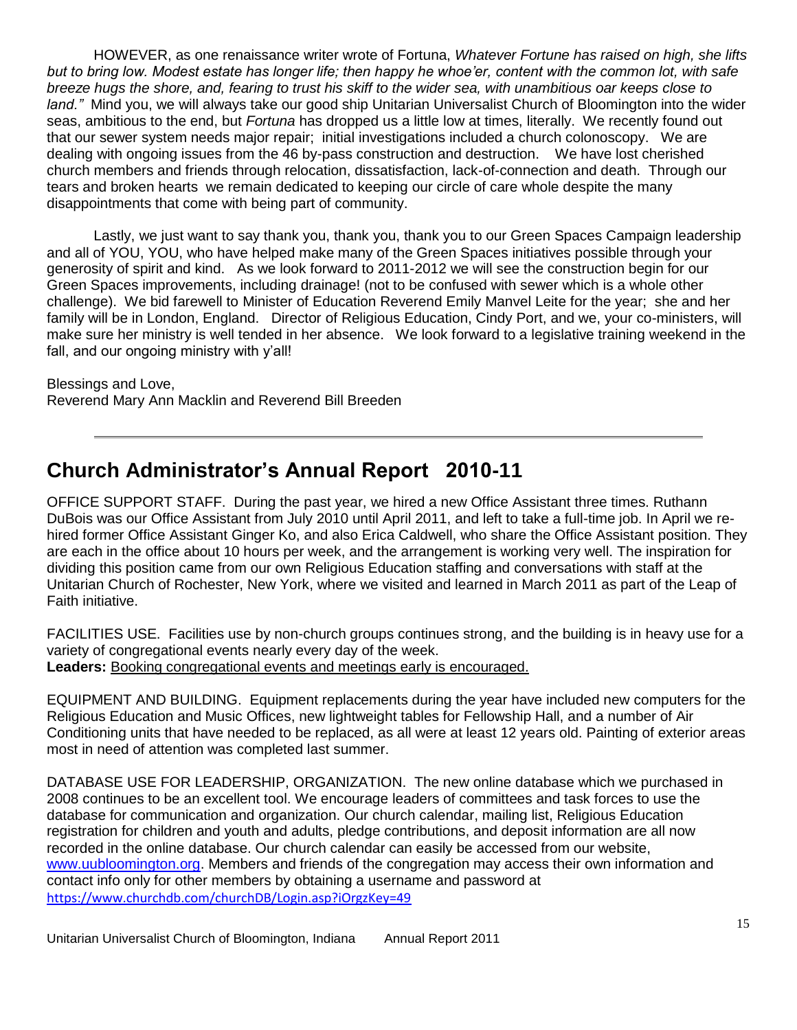HOWEVER, as one renaissance writer wrote of Fortuna, *Whatever Fortune has raised on high, she lifts but to bring low. Modest estate has longer life; then happy he whoe'er, content with the common lot, with safe breeze hugs the shore, and, fearing to trust his skiff to the wider sea, with unambitious oar keeps close to land."* Mind you, we will always take our good ship Unitarian Universalist Church of Bloomington into the wider seas, ambitious to the end, but *Fortuna* has dropped us a little low at times, literally. We recently found out that our sewer system needs major repair; initial investigations included a church colonoscopy. We are dealing with ongoing issues from the 46 by-pass construction and destruction. We have lost cherished church members and friends through relocation, dissatisfaction, lack-of-connection and death. Through our tears and broken hearts we remain dedicated to keeping our circle of care whole despite the many disappointments that come with being part of community.

Lastly, we just want to say thank you, thank you, thank you to our Green Spaces Campaign leadership and all of YOU, YOU, who have helped make many of the Green Spaces initiatives possible through your generosity of spirit and kind. As we look forward to 2011-2012 we will see the construction begin for our Green Spaces improvements, including drainage! (not to be confused with sewer which is a whole other challenge). We bid farewell to Minister of Education Reverend Emily Manvel Leite for the year; she and her family will be in London, England. Director of Religious Education, Cindy Port, and we, your co-ministers, will make sure her ministry is well tended in her absence. We look forward to a legislative training weekend in the fall, and our ongoing ministry with y'all!

Blessings and Love, Reverend Mary Ann Macklin and Reverend Bill Breeden

# **Church Administrator's Annual Report 2010-11**

OFFICE SUPPORT STAFF. During the past year, we hired a new Office Assistant three times. Ruthann DuBois was our Office Assistant from July 2010 until April 2011, and left to take a full-time job. In April we rehired former Office Assistant Ginger Ko, and also Erica Caldwell, who share the Office Assistant position. They are each in the office about 10 hours per week, and the arrangement is working very well. The inspiration for dividing this position came from our own Religious Education staffing and conversations with staff at the Unitarian Church of Rochester, New York, where we visited and learned in March 2011 as part of the Leap of Faith initiative.

FACILITIES USE. Facilities use by non-church groups continues strong, and the building is in heavy use for a variety of congregational events nearly every day of the week. **Leaders:** Booking congregational events and meetings early is encouraged.

EQUIPMENT AND BUILDING. Equipment replacements during the year have included new computers for the Religious Education and Music Offices, new lightweight tables for Fellowship Hall, and a number of Air Conditioning units that have needed to be replaced, as all were at least 12 years old. Painting of exterior areas most in need of attention was completed last summer.

DATABASE USE FOR LEADERSHIP, ORGANIZATION. The new online database which we purchased in 2008 continues to be an excellent tool. We encourage leaders of committees and task forces to use the database for communication and organization. Our church calendar, mailing list, Religious Education registration for children and youth and adults, pledge contributions, and deposit information are all now recorded in the online database. Our church calendar can easily be accessed from our website, [www.uubloomington.org.](http://www.uubloomington.org/) Members and friends of the congregation may access their own information and contact info only for other members by obtaining a username and password at <https://www.churchdb.com/churchDB/Login.asp?iOrgzKey=49>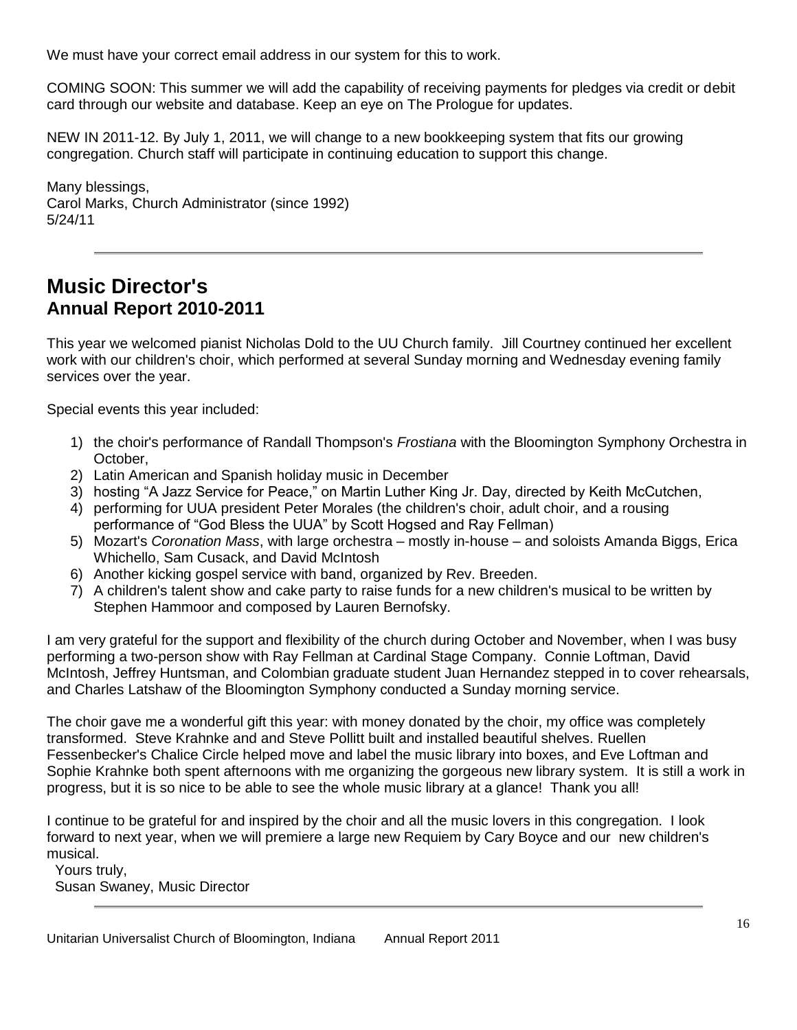We must have your correct email address in our system for this to work.

COMING SOON: This summer we will add the capability of receiving payments for pledges via credit or debit card through our website and database. Keep an eye on The Prologue for updates.

NEW IN 2011-12. By July 1, 2011, we will change to a new bookkeeping system that fits our growing congregation. Church staff will participate in continuing education to support this change.

Many blessings, Carol Marks, Church Administrator (since 1992) 5/24/11

## **Music Director's Annual Report 2010-2011**

This year we welcomed pianist Nicholas Dold to the UU Church family. Jill Courtney continued her excellent work with our children's choir, which performed at several Sunday morning and Wednesday evening family services over the year.

Special events this year included:

- 1) the choir's performance of Randall Thompson's *Frostiana* with the Bloomington Symphony Orchestra in October,
- 2) Latin American and Spanish holiday music in December
- 3) hosting "A Jazz Service for Peace," on Martin Luther King Jr. Day, directed by Keith McCutchen,
- 4) performing for UUA president Peter Morales (the children's choir, adult choir, and a rousing performance of "God Bless the UUA" by Scott Hogsed and Ray Fellman)
- 5) Mozart's *Coronation Mass*, with large orchestra mostly in-house and soloists Amanda Biggs, Erica Whichello, Sam Cusack, and David McIntosh
- 6) Another kicking gospel service with band, organized by Rev. Breeden.
- 7) A children's talent show and cake party to raise funds for a new children's musical to be written by Stephen Hammoor and composed by Lauren Bernofsky.

I am very grateful for the support and flexibility of the church during October and November, when I was busy performing a two-person show with Ray Fellman at Cardinal Stage Company. Connie Loftman, David McIntosh, Jeffrey Huntsman, and Colombian graduate student Juan Hernandez stepped in to cover rehearsals, and Charles Latshaw of the Bloomington Symphony conducted a Sunday morning service.

The choir gave me a wonderful gift this year: with money donated by the choir, my office was completely transformed. Steve Krahnke and and Steve Pollitt built and installed beautiful shelves. Ruellen Fessenbecker's Chalice Circle helped move and label the music library into boxes, and Eve Loftman and Sophie Krahnke both spent afternoons with me organizing the gorgeous new library system. It is still a work in progress, but it is so nice to be able to see the whole music library at a glance! Thank you all!

I continue to be grateful for and inspired by the choir and all the music lovers in this congregation. I look forward to next year, when we will premiere a large new Requiem by Cary Boyce and our new children's musical.

 Yours truly, Susan Swaney, Music Director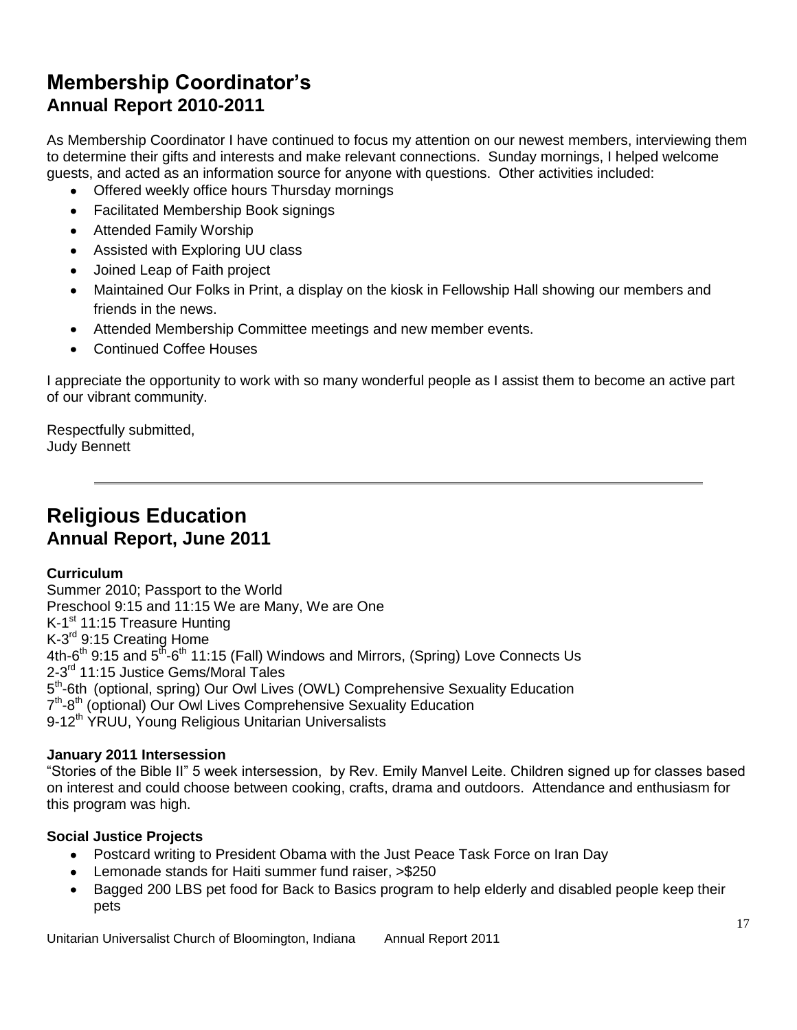# **Membership Coordinator's Annual Report 2010-2011**

As Membership Coordinator I have continued to focus my attention on our newest members, interviewing them to determine their gifts and interests and make relevant connections. Sunday mornings, I helped welcome guests, and acted as an information source for anyone with questions. Other activities included:

- Offered weekly office hours Thursday mornings
- Facilitated Membership Book signings
- Attended Family Worship
- Assisted with Exploring UU class
- Joined Leap of Faith project
- Maintained Our Folks in Print, a display on the kiosk in Fellowship Hall showing our members and friends in the news.
- Attended Membership Committee meetings and new member events.
- $\bullet$ Continued Coffee Houses

I appreciate the opportunity to work with so many wonderful people as I assist them to become an active part of our vibrant community.

Respectfully submitted, Judy Bennett

## **Religious Education Annual Report, June 2011**

### **Curriculum**

Summer 2010; Passport to the World Preschool 9:15 and 11:15 We are Many, We are One K-1<sup>st</sup> 11:15 Treasure Hunting K-3<sup>rd</sup> 9:15 Creating Home 4th-6<sup>th</sup> 9:15 and 5<sup>th</sup>-6<sup>th</sup> 11:15 (Fall) Windows and Mirrors, (Spring) Love Connects Us 2-3<sup>rd</sup> 11:15 Justice Gems/Moral Tales 5<sup>th</sup>-6th (optional, spring) Our Owl Lives (OWL) Comprehensive Sexuality Education 7<sup>th</sup>-8<sup>th</sup> (optional) Our Owl Lives Comprehensive Sexuality Education 9-12<sup>th</sup> YRUU, Young Religious Unitarian Universalists

### **January 2011 Intersession**

"Stories of the Bible II" 5 week intersession, by Rev. Emily Manvel Leite. Children signed up for classes based on interest and could choose between cooking, crafts, drama and outdoors. Attendance and enthusiasm for this program was high.

### **Social Justice Projects**

- Postcard writing to President Obama with the Just Peace Task Force on Iran Day
- Lemonade stands for Haiti summer fund raiser, >\$250
- Bagged 200 LBS pet food for Back to Basics program to help elderly and disabled people keep their pets

Unitarian Universalist Church of Bloomington, Indiana Annual Report 2011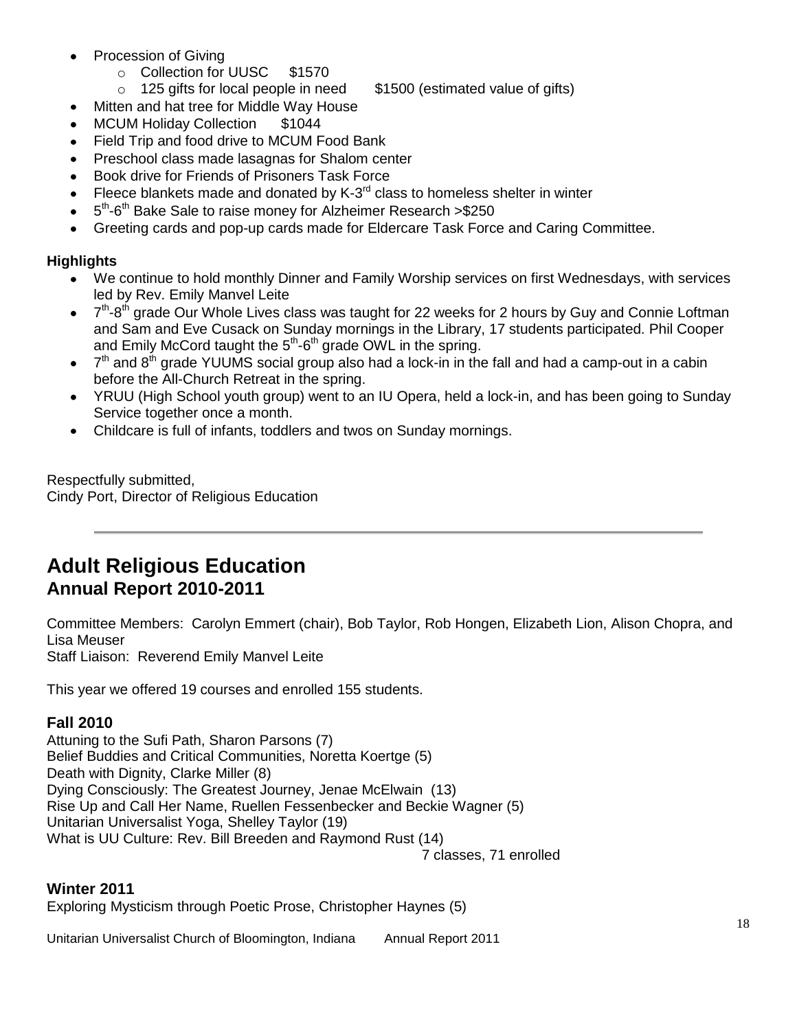- Procession of Giving
	- o Collection for UUSC \$1570
	- $\circ$  125 gifts for local people in need  $$1500$  (estimated value of gifts)
- Mitten and hat tree for Middle Way House
- MCUM Holiday Collection \$1044
- Field Trip and food drive to MCUM Food Bank
- Preschool class made lasagnas for Shalom center
- Book drive for Friends of Prisoners Task Force
- Fleece blankets made and donated by K-3 $<sup>rd</sup>$  class to homeless shelter in winter</sup>
- 5<sup>th</sup>-6<sup>th</sup> Bake Sale to raise money for Alzheimer Research >\$250
- Greeting cards and pop-up cards made for Eldercare Task Force and Caring Committee.

### **Highlights**

- We continue to hold monthly Dinner and Family Worship services on first Wednesdays, with services  $\bullet$ led by Rev. Emily Manvel Leite
- 7<sup>th</sup>-8<sup>th</sup> grade Our Whole Lives class was taught for 22 weeks for 2 hours by Guy and Connie Loftman and Sam and Eve Cusack on Sunday mornings in the Library, 17 students participated. Phil Cooper and Emily McCord taught the  $5<sup>th</sup>$ -6<sup>th</sup> grade OWL in the spring.
- $7<sup>th</sup>$  and  $8<sup>th</sup>$  grade YUUMS social group also had a lock-in in the fall and had a camp-out in a cabin before the All-Church Retreat in the spring.
- YRUU (High School youth group) went to an IU Opera, held a lock-in, and has been going to Sunday Service together once a month.
- Childcare is full of infants, toddlers and twos on Sunday mornings.

Respectfully submitted, Cindy Port, Director of Religious Education

## **Adult Religious Education Annual Report 2010-2011**

Committee Members: Carolyn Emmert (chair), Bob Taylor, Rob Hongen, Elizabeth Lion, Alison Chopra, and Lisa Meuser

Staff Liaison: Reverend Emily Manvel Leite

This year we offered 19 courses and enrolled 155 students.

### **Fall 2010**

Attuning to the Sufi Path, Sharon Parsons (7) Belief Buddies and Critical Communities, Noretta Koertge (5) Death with Dignity, Clarke Miller (8) Dying Consciously: The Greatest Journey, Jenae McElwain (13) Rise Up and Call Her Name, Ruellen Fessenbecker and Beckie Wagner (5) Unitarian Universalist Yoga, Shelley Taylor (19) What is UU Culture: Rev. Bill Breeden and Raymond Rust (14)

7 classes, 71 enrolled

### **Winter 2011**

Exploring Mysticism through Poetic Prose, Christopher Haynes (5)

Unitarian Universalist Church of Bloomington, Indiana Annual Report 2011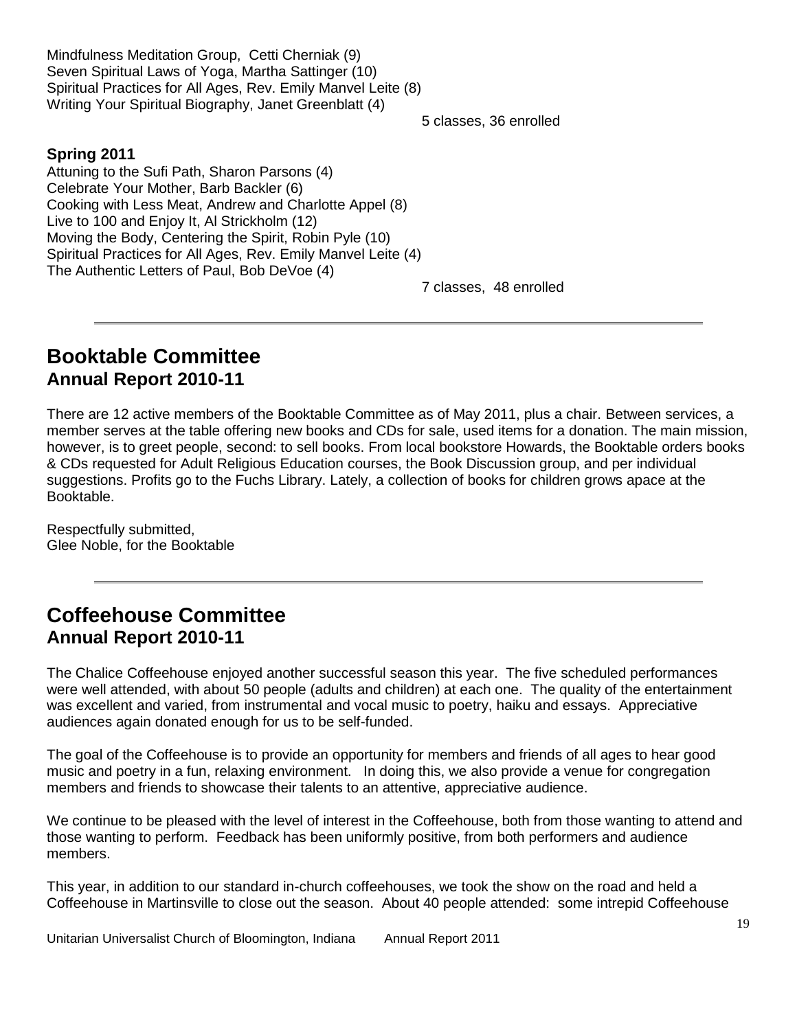Mindfulness Meditation Group, Cetti Cherniak (9) Seven Spiritual Laws of Yoga, Martha Sattinger (10) Spiritual Practices for All Ages, Rev. Emily Manvel Leite (8) Writing Your Spiritual Biography, Janet Greenblatt (4)

5 classes, 36 enrolled

### **Spring 2011**

Attuning to the Sufi Path, Sharon Parsons (4) Celebrate Your Mother, Barb Backler (6) Cooking with Less Meat, Andrew and Charlotte Appel (8) Live to 100 and Enjoy It, Al Strickholm (12) Moving the Body, Centering the Spirit, Robin Pyle (10) Spiritual Practices for All Ages, Rev. Emily Manvel Leite (4) The Authentic Letters of Paul, Bob DeVoe (4)

7 classes, 48 enrolled

## **Booktable Committee Annual Report 2010-11**

There are 12 active members of the Booktable Committee as of May 2011, plus a chair. Between services, a member serves at the table offering new books and CDs for sale, used items for a donation. The main mission, however, is to greet people, second: to sell books. From local bookstore Howards, the Booktable orders books & CDs requested for Adult Religious Education courses, the Book Discussion group, and per individual suggestions. Profits go to the Fuchs Library. Lately, a collection of books for children grows apace at the Booktable.

Respectfully submitted, Glee Noble, for the Booktable

# **Coffeehouse Committee Annual Report 2010-11**

The Chalice Coffeehouse enjoyed another successful season this year. The five scheduled performances were well attended, with about 50 people (adults and children) at each one. The quality of the entertainment was excellent and varied, from instrumental and vocal music to poetry, haiku and essays. Appreciative audiences again donated enough for us to be self-funded.

The goal of the Coffeehouse is to provide an opportunity for members and friends of all ages to hear good music and poetry in a fun, relaxing environment. In doing this, we also provide a venue for congregation members and friends to showcase their talents to an attentive, appreciative audience.

We continue to be pleased with the level of interest in the Coffeehouse, both from those wanting to attend and those wanting to perform. Feedback has been uniformly positive, from both performers and audience members.

This year, in addition to our standard in-church coffeehouses, we took the show on the road and held a Coffeehouse in Martinsville to close out the season. About 40 people attended: some intrepid Coffeehouse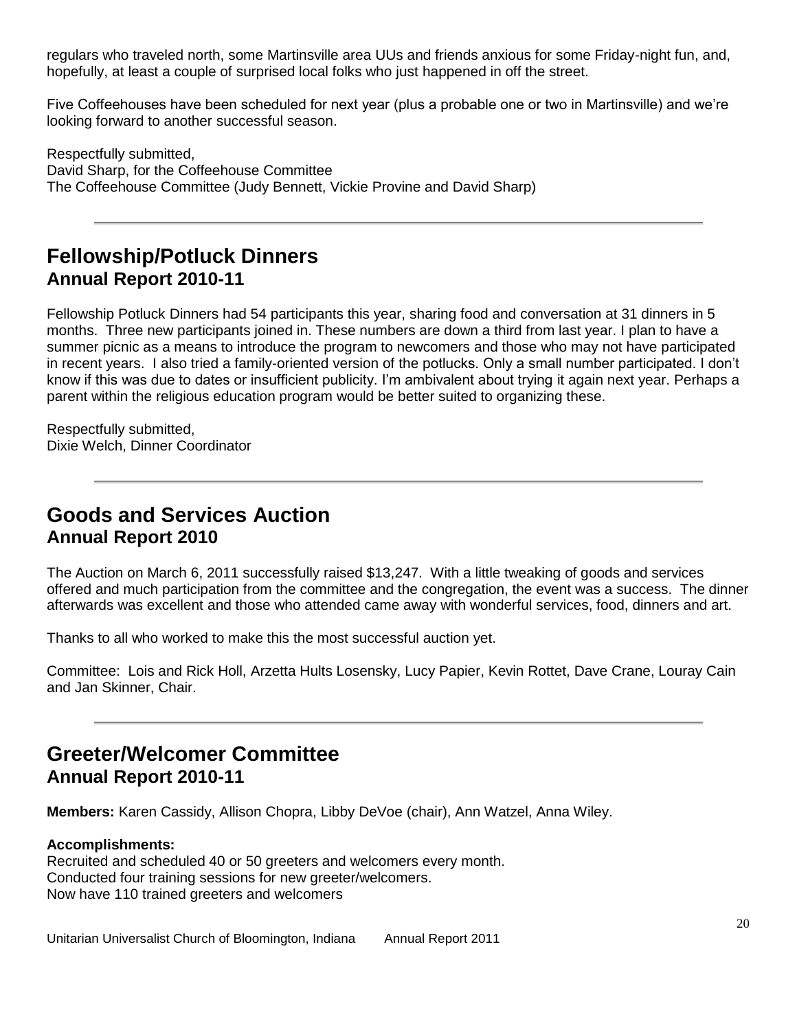regulars who traveled north, some Martinsville area UUs and friends anxious for some Friday-night fun, and, hopefully, at least a couple of surprised local folks who just happened in off the street.

Five Coffeehouses have been scheduled for next year (plus a probable one or two in Martinsville) and we're looking forward to another successful season.

Respectfully submitted, David Sharp, for the Coffeehouse Committee The Coffeehouse Committee (Judy Bennett, Vickie Provine and David Sharp)

## **Fellowship/Potluck Dinners Annual Report 2010-11**

Fellowship Potluck Dinners had 54 participants this year, sharing food and conversation at 31 dinners in 5 months. Three new participants joined in. These numbers are down a third from last year. I plan to have a summer picnic as a means to introduce the program to newcomers and those who may not have participated in recent years. I also tried a family-oriented version of the potlucks. Only a small number participated. I don't know if this was due to dates or insufficient publicity. I'm ambivalent about trying it again next year. Perhaps a parent within the religious education program would be better suited to organizing these.

Respectfully submitted, Dixie Welch, Dinner Coordinator

# **Goods and Services Auction Annual Report 2010**

The Auction on March 6, 2011 successfully raised \$13,247. With a little tweaking of goods and services offered and much participation from the committee and the congregation, the event was a success. The dinner afterwards was excellent and those who attended came away with wonderful services, food, dinners and art.

Thanks to all who worked to make this the most successful auction yet.

Committee: Lois and Rick Holl, Arzetta Hults Losensky, Lucy Papier, Kevin Rottet, Dave Crane, Louray Cain and Jan Skinner, Chair.

# **Greeter/Welcomer Committee Annual Report 2010-11**

**Members:** Karen Cassidy, Allison Chopra, Libby DeVoe (chair), Ann Watzel, Anna Wiley.

### **Accomplishments:**

Recruited and scheduled 40 or 50 greeters and welcomers every month. Conducted four training sessions for new greeter/welcomers. Now have 110 trained greeters and welcomers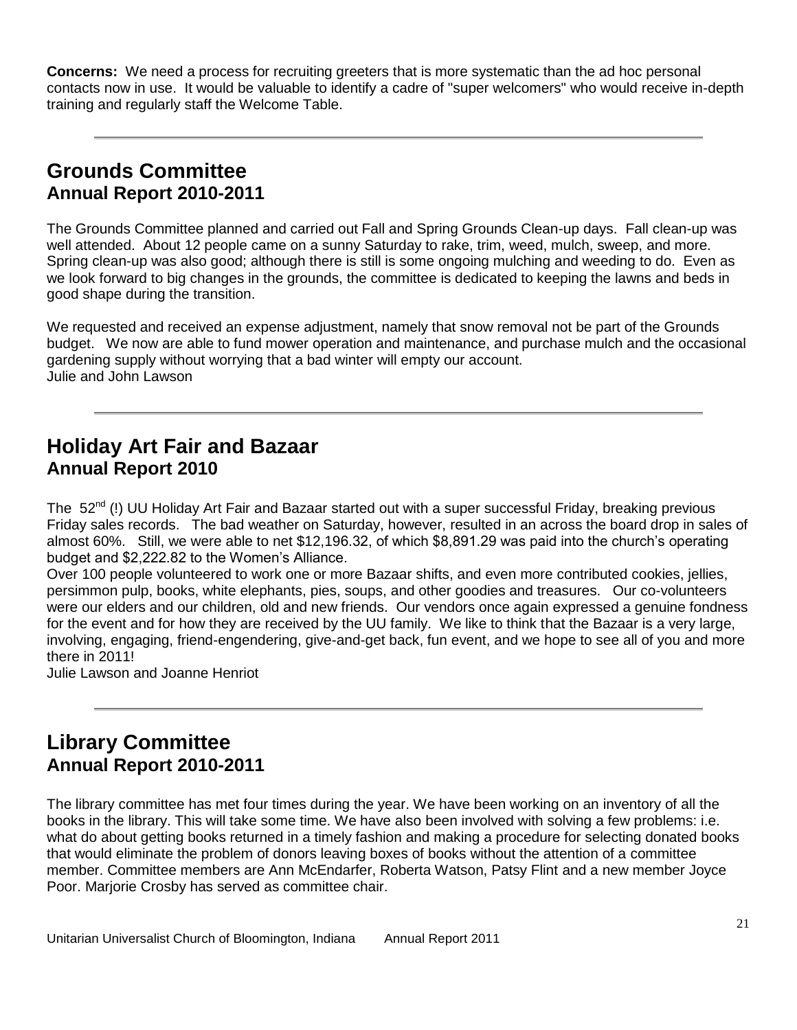**Concerns:** We need a process for recruiting greeters that is more systematic than the ad hoc personal contacts now in use. It would be valuable to identify a cadre of "super welcomers" who would receive in-depth training and regularly staff the Welcome Table.

# **Grounds Committee Annual Report 2010-2011**

The Grounds Committee planned and carried out Fall and Spring Grounds Clean-up days. Fall clean-up was well attended. About 12 people came on a sunny Saturday to rake, trim, weed, mulch, sweep, and more. Spring clean-up was also good; although there is still is some ongoing mulching and weeding to do. Even as we look forward to big changes in the grounds, the committee is dedicated to keeping the lawns and beds in good shape during the transition.

We requested and received an expense adjustment, namely that snow removal not be part of the Grounds budget. We now are able to fund mower operation and maintenance, and purchase mulch and the occasional gardening supply without worrying that a bad winter will empty our account. Julie and John Lawson

# **Holiday Art Fair and Bazaar Annual Report 2010**

The 52<sup>nd</sup> (!) UU Holidav Art Fair and Bazaar started out with a super successful Friday, breaking previous Friday sales records. The bad weather on Saturday, however, resulted in an across the board drop in sales of almost 60%. Still, we were able to net \$12,196.32, of which \$8,891.29 was paid into the church's operating budget and \$2,222.82 to the Women's Alliance.

Over 100 people volunteered to work one or more Bazaar shifts, and even more contributed cookies, jellies, persimmon pulp, books, white elephants, pies, soups, and other goodies and treasures. Our co-volunteers were our elders and our children, old and new friends. Our vendors once again expressed a genuine fondness for the event and for how they are received by the UU family. We like to think that the Bazaar is a very large, involving, engaging, friend-engendering, give-and-get back, fun event, and we hope to see all of you and more there in 2011!

Julie Lawson and Joanne Henriot

## **Library Committee Annual Report 2010-2011**

The library committee has met four times during the year. We have been working on an inventory of all the books in the library. This will take some time. We have also been involved with solving a few problems: i.e. what do about getting books returned in a timely fashion and making a procedure for selecting donated books that would eliminate the problem of donors leaving boxes of books without the attention of a committee member. Committee members are Ann McEndarfer, Roberta Watson, Patsy Flint and a new member Joyce Poor. Marjorie Crosby has served as committee chair.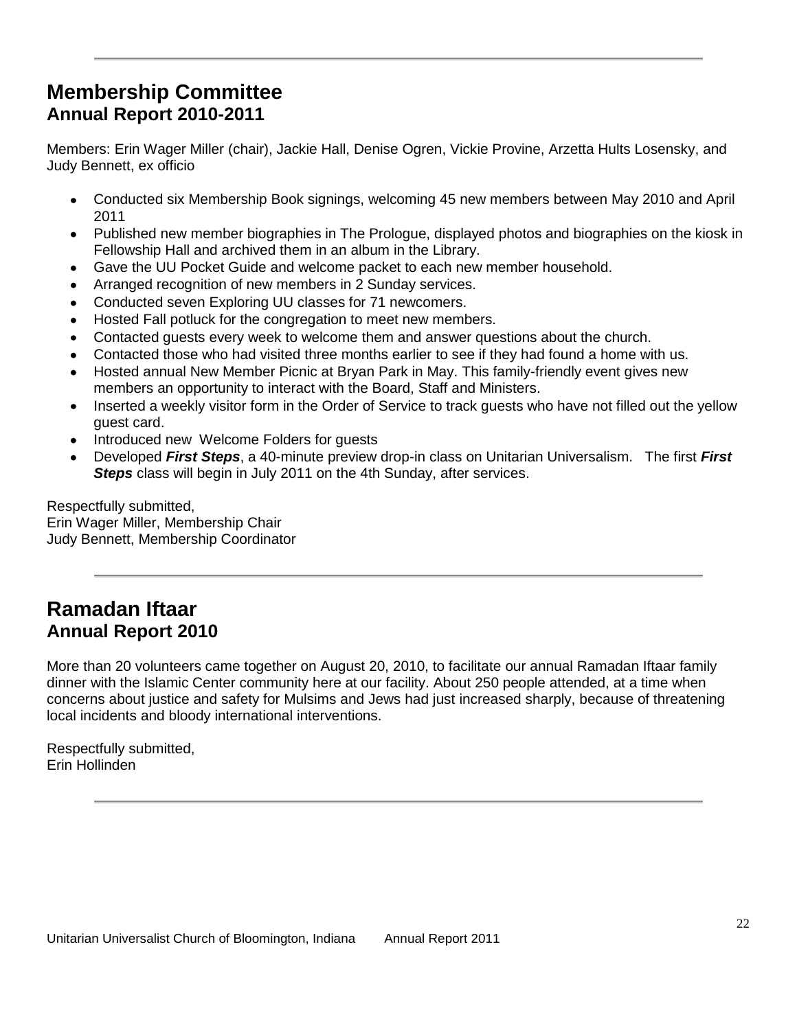# **Membership Committee Annual Report 2010-2011**

Members: Erin Wager Miller (chair), Jackie Hall, Denise Ogren, Vickie Provine, Arzetta Hults Losensky, and Judy Bennett, ex officio

- Conducted six Membership Book signings, welcoming 45 new members between May 2010 and April  $\bullet$ 2011
- Published new member biographies in The Prologue, displayed photos and biographies on the kiosk in Fellowship Hall and archived them in an album in the Library.
- Gave the UU Pocket Guide and welcome packet to each new member household.
- Arranged recognition of new members in 2 Sunday services.
- Conducted seven Exploring UU classes for 71 newcomers.
- Hosted Fall potluck for the congregation to meet new members.
- Contacted guests every week to welcome them and answer questions about the church.
- Contacted those who had visited three months earlier to see if they had found a home with us.
- Hosted annual New Member Picnic at Bryan Park in May. This family-friendly event gives new members an opportunity to interact with the Board, Staff and Ministers.
- Inserted a weekly visitor form in the Order of Service to track guests who have not filled out the yellow guest card.
- Introduced new Welcome Folders for guests
- Developed *First Steps*, a 40-minute preview drop-in class on Unitarian Universalism. The first *First*  **Steps** class will begin in July 2011 on the 4th Sunday, after services.

Respectfully submitted, Erin Wager Miller, Membership Chair Judy Bennett, Membership Coordinator

## **Ramadan Iftaar Annual Report 2010**

More than 20 volunteers came together on August 20, 2010, to facilitate our annual Ramadan Iftaar family dinner with the Islamic Center community here at our facility. About 250 people attended, at a time when concerns about justice and safety for Mulsims and Jews had just increased sharply, because of threatening local incidents and bloody international interventions.

Respectfully submitted, Erin Hollinden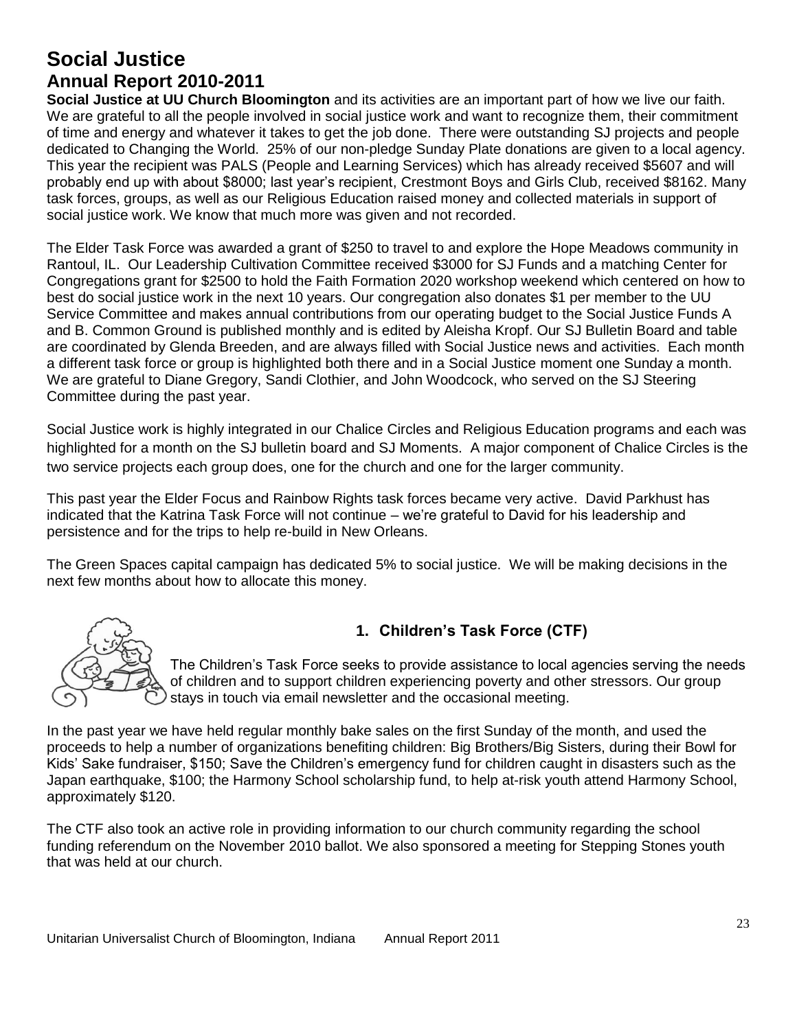# **Social Justice Annual Report 2010-2011**

**Social Justice at UU Church Bloomington** and its activities are an important part of how we live our faith. We are grateful to all the people involved in social justice work and want to recognize them, their commitment of time and energy and whatever it takes to get the job done. There were outstanding SJ projects and people dedicated to Changing the World. 25% of our non-pledge Sunday Plate donations are given to a local agency. This year the recipient was PALS (People and Learning Services) which has already received \$5607 and will probably end up with about \$8000; last year's recipient, Crestmont Boys and Girls Club, received \$8162. Many task forces, groups, as well as our Religious Education raised money and collected materials in support of social justice work. We know that much more was given and not recorded.

The Elder Task Force was awarded a grant of \$250 to travel to and explore the Hope Meadows community in Rantoul, IL. Our Leadership Cultivation Committee received \$3000 for SJ Funds and a matching Center for Congregations grant for \$2500 to hold the Faith Formation 2020 workshop weekend which centered on how to best do social justice work in the next 10 years. Our congregation also donates \$1 per member to the UU Service Committee and makes annual contributions from our operating budget to the Social Justice Funds A and B. Common Ground is published monthly and is edited by Aleisha Kropf. Our SJ Bulletin Board and table are coordinated by Glenda Breeden, and are always filled with Social Justice news and activities. Each month a different task force or group is highlighted both there and in a Social Justice moment one Sunday a month. We are grateful to Diane Gregory, Sandi Clothier, and John Woodcock, who served on the SJ Steering Committee during the past year.

Social Justice work is highly integrated in our Chalice Circles and Religious Education programs and each was highlighted for a month on the SJ bulletin board and SJ Moments. A major component of Chalice Circles is the two service projects each group does, one for the church and one for the larger community.

This past year the Elder Focus and Rainbow Rights task forces became very active. David Parkhust has indicated that the Katrina Task Force will not continue – we're grateful to David for his leadership and persistence and for the trips to help re-build in New Orleans.

The Green Spaces capital campaign has dedicated 5% to social justice. We will be making decisions in the next few months about how to allocate this money.



## **1. Children's Task Force (CTF)**

The Children's Task Force seeks to provide assistance to local agencies serving the needs of children and to support children experiencing poverty and other stressors. Our group stays in touch via email newsletter and the occasional meeting.

In the past year we have held regular monthly bake sales on the first Sunday of the month, and used the proceeds to help a number of organizations benefiting children: Big Brothers/Big Sisters, during their Bowl for Kids' Sake fundraiser, \$150; Save the Children's emergency fund for children caught in disasters such as the Japan earthquake, \$100; the Harmony School scholarship fund, to help at-risk youth attend Harmony School, approximately \$120.

The CTF also took an active role in providing information to our church community regarding the school funding referendum on the November 2010 ballot. We also sponsored a meeting for Stepping Stones youth that was held at our church.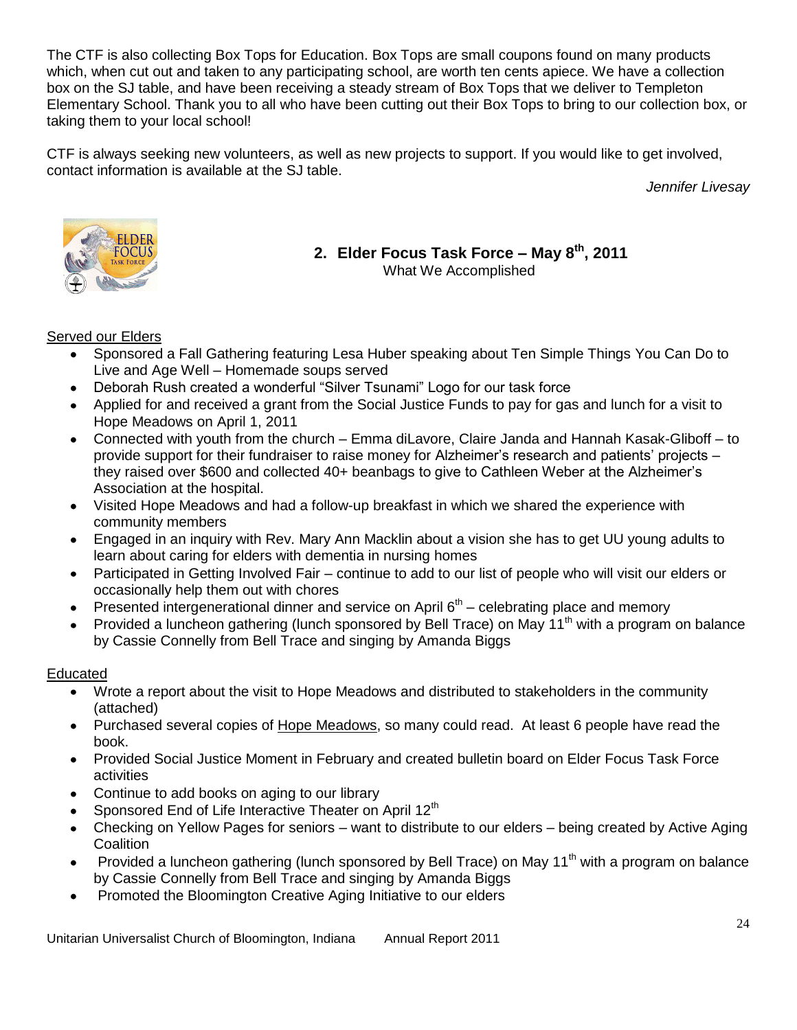The CTF is also collecting Box Tops for Education. Box Tops are small coupons found on many products which, when cut out and taken to any participating school, are worth ten cents apiece. We have a collection box on the SJ table, and have been receiving a steady stream of Box Tops that we deliver to Templeton Elementary School. Thank you to all who have been cutting out their Box Tops to bring to our collection box, or taking them to your local school!

CTF is always seeking new volunteers, as well as new projects to support. If you would like to get involved, contact information is available at the SJ table.

*Jennifer Livesay*



**2. Elder Focus Task Force – May 8th, 2011** What We Accomplished

### Served our Elders

- Sponsored a Fall Gathering featuring Lesa Huber speaking about Ten Simple Things You Can Do to  $\bullet$ Live and Age Well – Homemade soups served
- Deborah Rush created a wonderful "Silver Tsunami" Logo for our task force
- Applied for and received a grant from the Social Justice Funds to pay for gas and lunch for a visit to Hope Meadows on April 1, 2011
- Connected with youth from the church Emma diLavore, Claire Janda and Hannah Kasak-Gliboff to provide support for their fundraiser to raise money for Alzheimer's research and patients' projects – they raised over \$600 and collected 40+ beanbags to give to Cathleen Weber at the Alzheimer's Association at the hospital.
- Visited Hope Meadows and had a follow-up breakfast in which we shared the experience with community members
- Engaged in an inquiry with Rev. Mary Ann Macklin about a vision she has to get UU young adults to learn about caring for elders with dementia in nursing homes
- Participated in Getting Involved Fair continue to add to our list of people who will visit our elders or  $\bullet$ occasionally help them out with chores
- Presented intergenerational dinner and service on April  $6<sup>th</sup>$  celebrating place and memory
- Provided a luncheon gathering (lunch sponsored by Bell Trace) on May 11<sup>th</sup> with a program on balance by Cassie Connelly from Bell Trace and singing by Amanda Biggs

### Educated

- Wrote a report about the visit to Hope Meadows and distributed to stakeholders in the community  $\bullet$ (attached)
- Purchased several copies of Hope Meadows, so many could read. At least 6 people have read the book.
- Provided Social Justice Moment in February and created bulletin board on Elder Focus Task Force activities
- Continue to add books on aging to our library
- Sponsored End of Life Interactive Theater on April 12<sup>th</sup>
- Checking on Yellow Pages for seniors want to distribute to our elders being created by Active Aging **Coalition**
- Provided a luncheon gathering (lunch sponsored by Bell Trace) on May 11<sup>th</sup> with a program on balance by Cassie Connelly from Bell Trace and singing by Amanda Biggs
- Promoted the Bloomington Creative Aging Initiative to our elders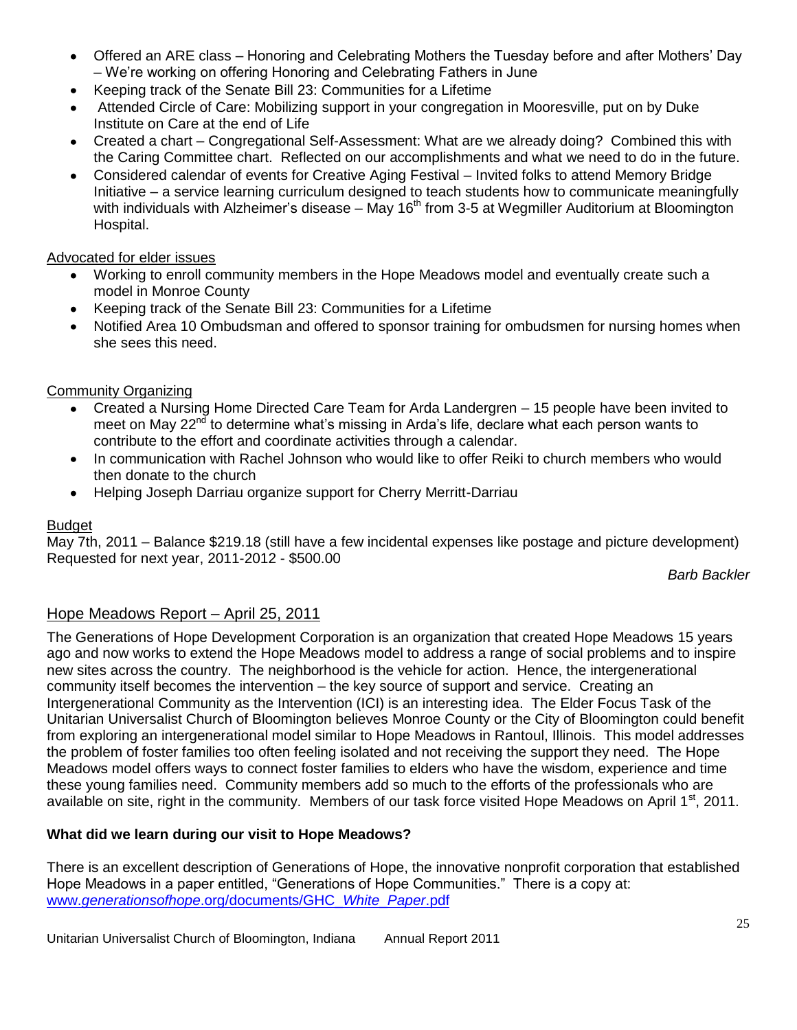- Offered an ARE class Honoring and Celebrating Mothers the Tuesday before and after Mothers' Day – We're working on offering Honoring and Celebrating Fathers in June
- Keeping track of the Senate Bill 23: Communities for a Lifetime  $\bullet$
- Attended Circle of Care: Mobilizing support in your congregation in Mooresville, put on by Duke Institute on Care at the end of Life
- Created a chart Congregational Self-Assessment: What are we already doing? Combined this with the Caring Committee chart. Reflected on our accomplishments and what we need to do in the future.
- Considered calendar of events for Creative Aging Festival Invited folks to attend Memory Bridge Initiative – a service learning curriculum designed to teach students how to communicate meaningfully with individuals with Alzheimer's disease – May 16<sup>th</sup> from 3-5 at Wegmiller Auditorium at Bloomington Hospital.

### Advocated for elder issues

- Working to enroll community members in the Hope Meadows model and eventually create such a model in Monroe County
- Keeping track of the Senate Bill 23: Communities for a Lifetime
- Notified Area 10 Ombudsman and offered to sponsor training for ombudsmen for nursing homes when she sees this need.

### Community Organizing

- Created a Nursing Home Directed Care Team for Arda Landergren 15 people have been invited to  $\bullet$ meet on May 22<sup>nd</sup> to determine what's missing in Arda's life, declare what each person wants to contribute to the effort and coordinate activities through a calendar.
- In communication with Rachel Johnson who would like to offer Reiki to church members who would then donate to the church
- Helping Joseph Darriau organize support for Cherry Merritt-Darriau

### Budget

May 7th, 2011 – Balance \$219.18 (still have a few incidental expenses like postage and picture development) Requested for next year, 2011-2012 - \$500.00

*Barb Backler*

### Hope Meadows Report – April 25, 2011

The Generations of Hope Development Corporation is an organization that created Hope Meadows 15 years ago and now works to extend the Hope Meadows model to address a range of social problems and to inspire new sites across the country. The neighborhood is the vehicle for action. Hence, the intergenerational community itself becomes the intervention – the key source of support and service. Creating an Intergenerational Community as the Intervention (ICI) is an interesting idea. The Elder Focus Task of the Unitarian Universalist Church of Bloomington believes Monroe County or the City of Bloomington could benefit from exploring an intergenerational model similar to Hope Meadows in Rantoul, Illinois. This model addresses the problem of foster families too often feeling isolated and not receiving the support they need. The Hope Meadows model offers ways to connect foster families to elders who have the wisdom, experience and time these young families need. Community members add so much to the efforts of the professionals who are available on site, right in the community. Members of our task force visited Hope Meadows on April 1<sup>st</sup>, 2011.

### **What did we learn during our visit to Hope Meadows?**

There is an excellent description of Generations of Hope, the innovative nonprofit corporation that established Hope Meadows in a paper entitled, "Generations of Hope Communities." There is a copy at: www.*generationsofhope*[.org/documents/GHC\\_](http://www.generationsofhope.org/documents/GHC_​White_​Paper.pdf)*White*\_*Paper*.pdf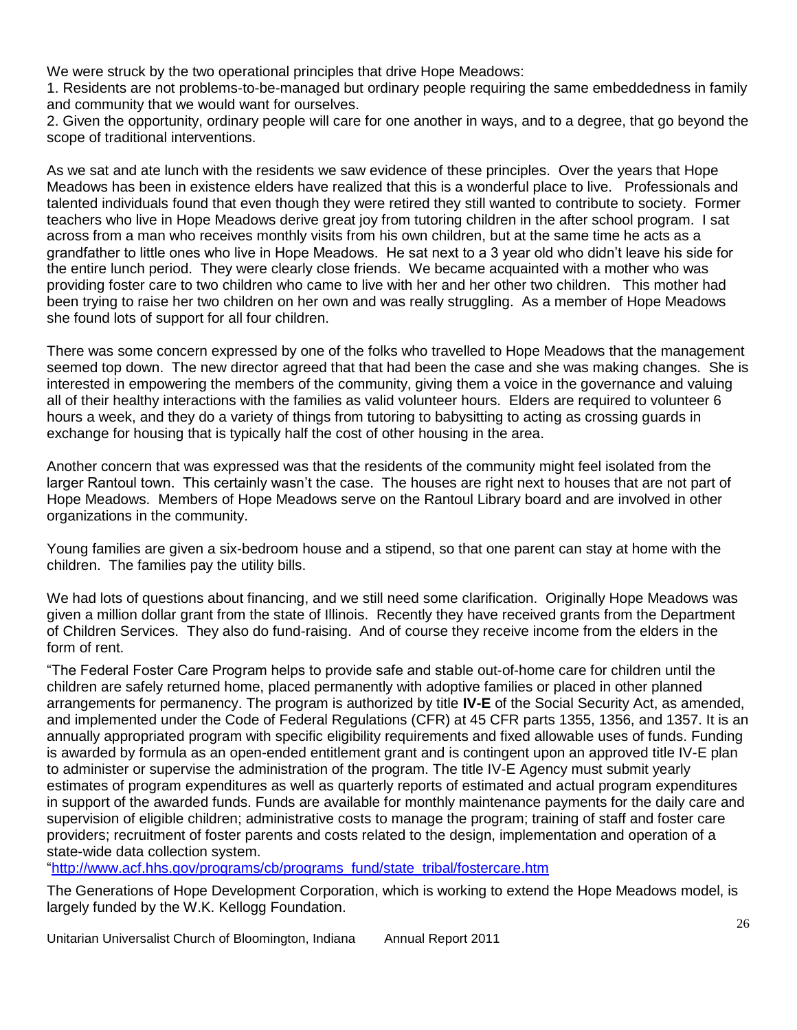We were struck by the two operational principles that drive Hope Meadows:

1. Residents are not problems-to-be-managed but ordinary people requiring the same embeddedness in family and community that we would want for ourselves.

2. Given the opportunity, ordinary people will care for one another in ways, and to a degree, that go beyond the scope of traditional interventions.

As we sat and ate lunch with the residents we saw evidence of these principles. Over the years that Hope Meadows has been in existence elders have realized that this is a wonderful place to live. Professionals and talented individuals found that even though they were retired they still wanted to contribute to society. Former teachers who live in Hope Meadows derive great joy from tutoring children in the after school program. I sat across from a man who receives monthly visits from his own children, but at the same time he acts as a grandfather to little ones who live in Hope Meadows. He sat next to a 3 year old who didn't leave his side for the entire lunch period. They were clearly close friends. We became acquainted with a mother who was providing foster care to two children who came to live with her and her other two children. This mother had been trying to raise her two children on her own and was really struggling. As a member of Hope Meadows she found lots of support for all four children.

There was some concern expressed by one of the folks who travelled to Hope Meadows that the management seemed top down. The new director agreed that that had been the case and she was making changes. She is interested in empowering the members of the community, giving them a voice in the governance and valuing all of their healthy interactions with the families as valid volunteer hours. Elders are required to volunteer 6 hours a week, and they do a variety of things from tutoring to babysitting to acting as crossing guards in exchange for housing that is typically half the cost of other housing in the area.

Another concern that was expressed was that the residents of the community might feel isolated from the larger Rantoul town. This certainly wasn't the case. The houses are right next to houses that are not part of Hope Meadows. Members of Hope Meadows serve on the Rantoul Library board and are involved in other organizations in the community.

Young families are given a six-bedroom house and a stipend, so that one parent can stay at home with the children. The families pay the utility bills.

We had lots of questions about financing, and we still need some clarification. Originally Hope Meadows was given a million dollar grant from the state of Illinois. Recently they have received grants from the Department of Children Services. They also do fund-raising. And of course they receive income from the elders in the form of rent.

"The Federal Foster Care Program helps to provide safe and stable out-of-home care for children until the children are safely returned home, placed permanently with adoptive families or placed in other planned arrangements for permanency. The program is authorized by title **IV-E** of the Social Security Act, as amended, and implemented under the Code of Federal Regulations (CFR) at 45 CFR parts 1355, 1356, and 1357. It is an annually appropriated program with specific eligibility requirements and fixed allowable uses of funds. Funding is awarded by formula as an open-ended entitlement grant and is contingent upon an approved title IV-E plan to administer or supervise the administration of the program. The title IV-E Agency must submit yearly estimates of program expenditures as well as quarterly reports of estimated and actual program expenditures in support of the awarded funds. Funds are available for monthly maintenance payments for the daily care and supervision of eligible children; administrative costs to manage the program; training of staff and foster care providers; recruitment of foster parents and costs related to the design, implementation and operation of a state-wide data collection system.

["http://www.acf.hhs.gov/programs/cb/programs\\_fund/state\\_tribal/fostercare.htm](http://www.acf.hhs.gov/programs/cb/programs_fund/state_tribal/fostercare.htm)

The Generations of Hope Development Corporation, which is working to extend the Hope Meadows model, is largely funded by the W.K. Kellogg Foundation.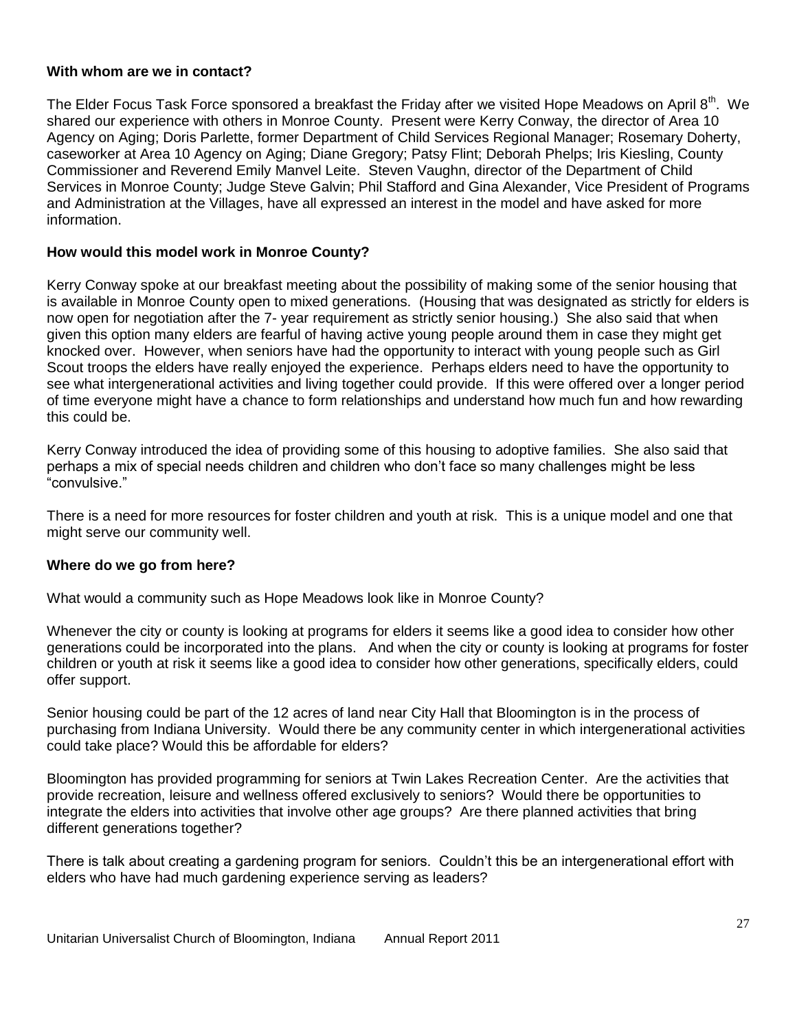#### **With whom are we in contact?**

The Elder Focus Task Force sponsored a breakfast the Friday after we visited Hope Meadows on April 8<sup>th</sup>. We shared our experience with others in Monroe County. Present were Kerry Conway, the director of Area 10 Agency on Aging; Doris Parlette, former Department of Child Services Regional Manager; Rosemary Doherty, caseworker at Area 10 Agency on Aging; Diane Gregory; Patsy Flint; Deborah Phelps; Iris Kiesling, County Commissioner and Reverend Emily Manvel Leite. Steven Vaughn, director of the Department of Child Services in Monroe County; Judge Steve Galvin; Phil Stafford and Gina Alexander, Vice President of Programs and Administration at the Villages, have all expressed an interest in the model and have asked for more information.

#### **How would this model work in Monroe County?**

Kerry Conway spoke at our breakfast meeting about the possibility of making some of the senior housing that is available in Monroe County open to mixed generations. (Housing that was designated as strictly for elders is now open for negotiation after the 7- year requirement as strictly senior housing.) She also said that when given this option many elders are fearful of having active young people around them in case they might get knocked over. However, when seniors have had the opportunity to interact with young people such as Girl Scout troops the elders have really enjoyed the experience. Perhaps elders need to have the opportunity to see what intergenerational activities and living together could provide. If this were offered over a longer period of time everyone might have a chance to form relationships and understand how much fun and how rewarding this could be.

Kerry Conway introduced the idea of providing some of this housing to adoptive families. She also said that perhaps a mix of special needs children and children who don't face so many challenges might be less "convulsive."

There is a need for more resources for foster children and youth at risk. This is a unique model and one that might serve our community well.

#### **Where do we go from here?**

What would a community such as Hope Meadows look like in Monroe County?

Whenever the city or county is looking at programs for elders it seems like a good idea to consider how other generations could be incorporated into the plans. And when the city or county is looking at programs for foster children or youth at risk it seems like a good idea to consider how other generations, specifically elders, could offer support.

Senior housing could be part of the 12 acres of land near City Hall that Bloomington is in the process of purchasing from Indiana University. Would there be any community center in which intergenerational activities could take place? Would this be affordable for elders?

Bloomington has provided programming for seniors at Twin Lakes Recreation Center. Are the activities that provide recreation, leisure and wellness offered exclusively to seniors? Would there be opportunities to integrate the elders into activities that involve other age groups? Are there planned activities that bring different generations together?

There is talk about creating a gardening program for seniors. Couldn't this be an intergenerational effort with elders who have had much gardening experience serving as leaders?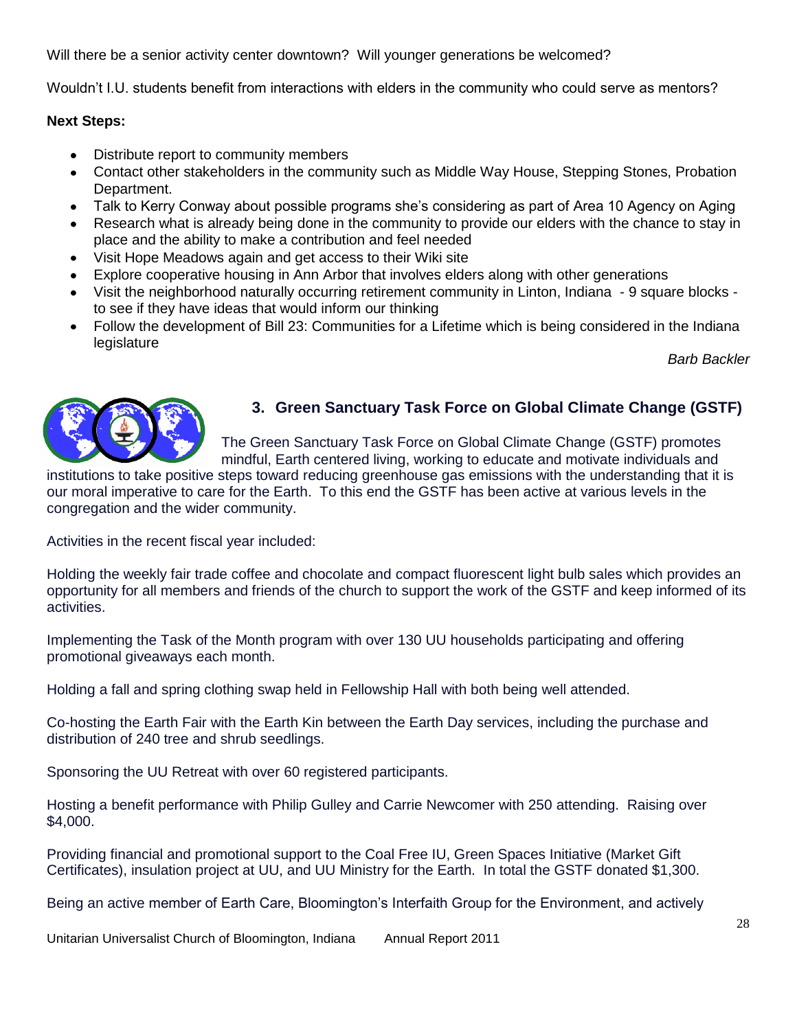Will there be a senior activity center downtown? Will younger generations be welcomed?

Wouldn't I.U. students benefit from interactions with elders in the community who could serve as mentors?

#### **Next Steps:**

- Distribute report to community members
- Contact other stakeholders in the community such as Middle Way House, Stepping Stones, Probation  $\bullet$ Department.
- Talk to Kerry Conway about possible programs she's considering as part of Area 10 Agency on Aging
- Research what is already being done in the community to provide our elders with the chance to stay in place and the ability to make a contribution and feel needed
- Visit Hope Meadows again and get access to their Wiki site
- Explore cooperative housing in Ann Arbor that involves elders along with other generations
- Visit the neighborhood naturally occurring retirement community in Linton, Indiana 9 square blocks to see if they have ideas that would inform our thinking
- Follow the development of Bill 23: Communities for a Lifetime which is being considered in the Indiana legislature

*Barb Backler*



## **3. Green Sanctuary Task Force on Global Climate Change (GSTF)**

The Green Sanctuary Task Force on Global Climate Change (GSTF) promotes mindful, Earth centered living, working to educate and motivate individuals and

institutions to take positive steps toward reducing greenhouse gas emissions with the understanding that it is our moral imperative to care for the Earth. To this end the GSTF has been active at various levels in the congregation and the wider community.

Activities in the recent fiscal year included:

Holding the weekly fair trade coffee and chocolate and compact fluorescent light bulb sales which provides an opportunity for all members and friends of the church to support the work of the GSTF and keep informed of its activities.

Implementing the Task of the Month program with over 130 UU households participating and offering promotional giveaways each month.

Holding a fall and spring clothing swap held in Fellowship Hall with both being well attended.

Co-hosting the Earth Fair with the Earth Kin between the Earth Day services, including the purchase and distribution of 240 tree and shrub seedlings.

Sponsoring the UU Retreat with over 60 registered participants.

Hosting a benefit performance with Philip Gulley and Carrie Newcomer with 250 attending. Raising over \$4,000.

Providing financial and promotional support to the Coal Free IU, Green Spaces Initiative (Market Gift Certificates), insulation project at UU, and UU Ministry for the Earth. In total the GSTF donated \$1,300.

Being an active member of Earth Care, Bloomington's Interfaith Group for the Environment, and actively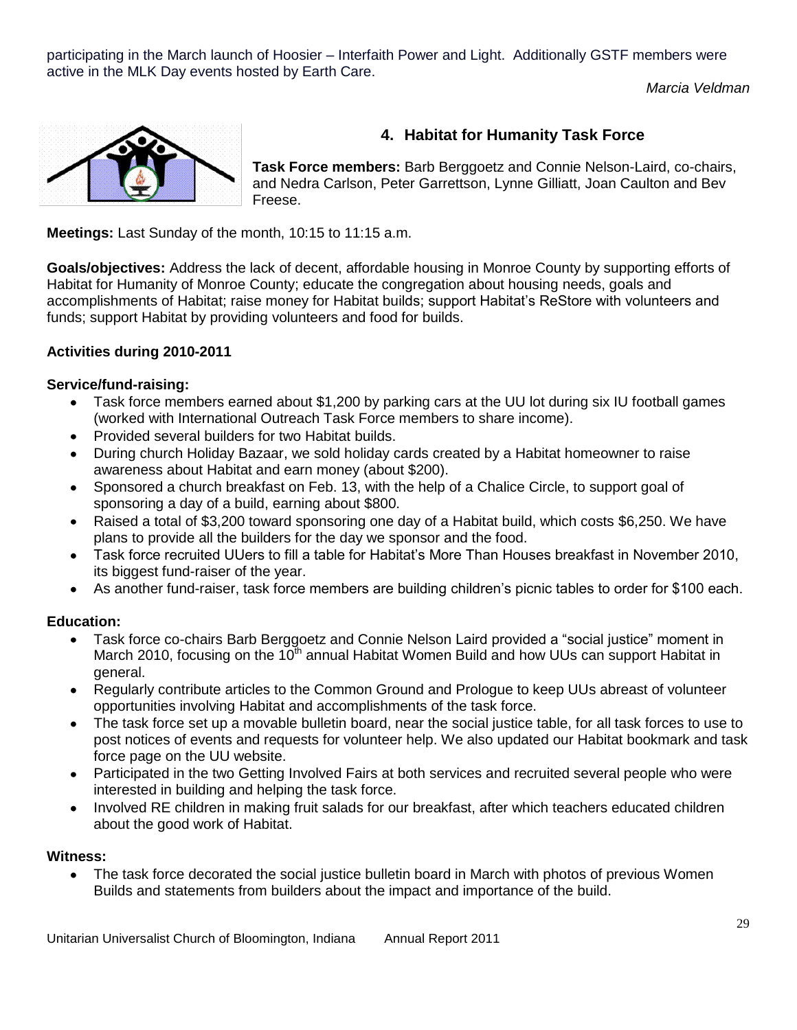participating in the March launch of Hoosier – Interfaith Power and Light. Additionally GSTF members were active in the MLK Day events hosted by Earth Care.

*Marcia Veldman*



## **4. Habitat for Humanity Task Force**

**Task Force members:** Barb Berggoetz and Connie Nelson-Laird, co-chairs, and Nedra Carlson, Peter Garrettson, Lynne Gilliatt, Joan Caulton and Bev Freese.

**Meetings:** Last Sunday of the month, 10:15 to 11:15 a.m.

**Goals/objectives:** Address the lack of decent, affordable housing in Monroe County by supporting efforts of Habitat for Humanity of Monroe County; educate the congregation about housing needs, goals and accomplishments of Habitat; raise money for Habitat builds; support Habitat's ReStore with volunteers and funds; support Habitat by providing volunteers and food for builds.

### **Activities during 2010-2011**

### **Service/fund-raising:**

- Task force members earned about \$1,200 by parking cars at the UU lot during six IU football games  $\bullet$ (worked with International Outreach Task Force members to share income).
- Provided several builders for two Habitat builds.
- During church Holiday Bazaar, we sold holiday cards created by a Habitat homeowner to raise awareness about Habitat and earn money (about \$200).
- Sponsored a church breakfast on Feb. 13, with the help of a Chalice Circle, to support goal of sponsoring a day of a build, earning about \$800.
- Raised a total of \$3,200 toward sponsoring one day of a Habitat build, which costs \$6,250. We have plans to provide all the builders for the day we sponsor and the food.
- Task force recruited UUers to fill a table for Habitat's More Than Houses breakfast in November 2010, its biggest fund-raiser of the year.
- As another fund-raiser, task force members are building children's picnic tables to order for \$100 each.  $\bullet$

### **Education:**

- Task force co-chairs Barb Berggoetz and Connie Nelson Laird provided a "social justice" moment in  $\bullet$ March 2010, focusing on the  $10<sup>th</sup>$  annual Habitat Women Build and how UUs can support Habitat in general.
- Regularly contribute articles to the Common Ground and Prologue to keep UUs abreast of volunteer opportunities involving Habitat and accomplishments of the task force.
- The task force set up a movable bulletin board, near the social justice table, for all task forces to use to post notices of events and requests for volunteer help. We also updated our Habitat bookmark and task force page on the UU website.
- Participated in the two Getting Involved Fairs at both services and recruited several people who were  $\bullet$ interested in building and helping the task force.
- Involved RE children in making fruit salads for our breakfast, after which teachers educated children about the good work of Habitat.

### **Witness:**

 $\bullet$ The task force decorated the social justice bulletin board in March with photos of previous Women Builds and statements from builders about the impact and importance of the build.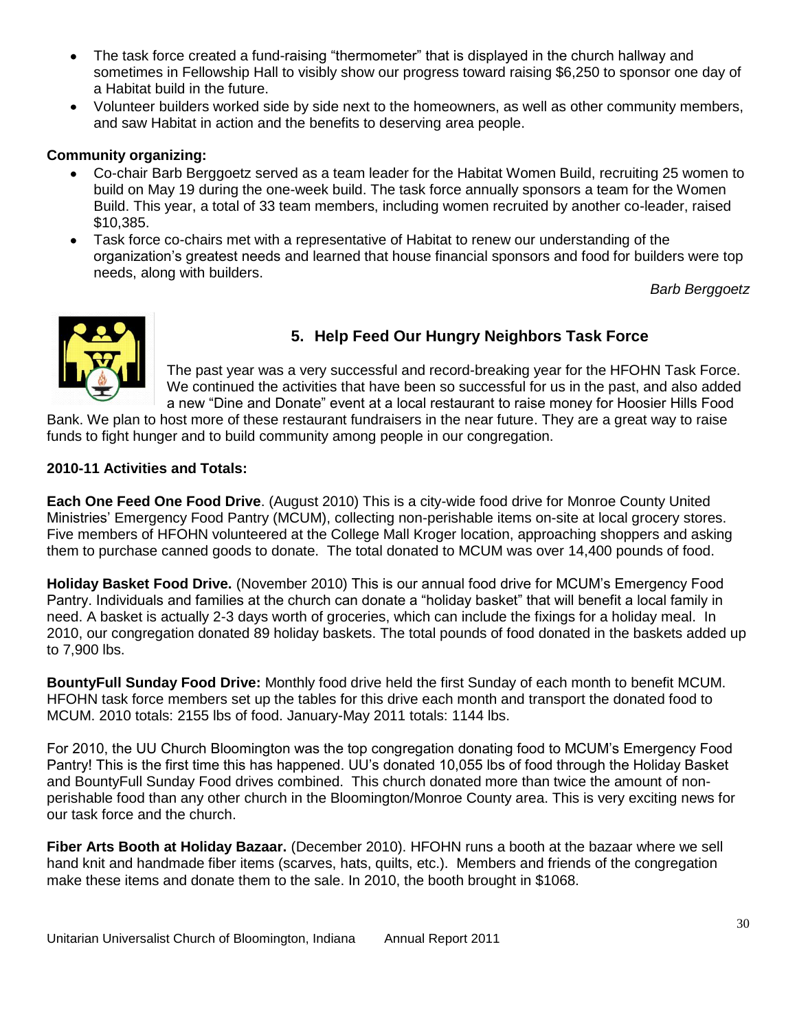- The task force created a fund-raising "thermometer" that is displayed in the church hallway and sometimes in Fellowship Hall to visibly show our progress toward raising \$6,250 to sponsor one day of a Habitat build in the future.
- Volunteer builders worked side by side next to the homeowners, as well as other community members, and saw Habitat in action and the benefits to deserving area people.

### **Community organizing:**

- Co-chair Barb Berggoetz served as a team leader for the Habitat Women Build, recruiting 25 women to build on May 19 during the one-week build. The task force annually sponsors a team for the Women Build. This year, a total of 33 team members, including women recruited by another co-leader, raised \$10,385.
- Task force co-chairs met with a representative of Habitat to renew our understanding of the  $\bullet$ organization's greatest needs and learned that house financial sponsors and food for builders were top needs, along with builders.

*Barb Berggoetz*



## **5. Help Feed Our Hungry Neighbors Task Force**

The past year was a very successful and record-breaking year for the HFOHN Task Force. We continued the activities that have been so successful for us in the past, and also added a new "Dine and Donate" event at a local restaurant to raise money for Hoosier Hills Food

Bank. We plan to host more of these restaurant fundraisers in the near future. They are a great way to raise funds to fight hunger and to build community among people in our congregation.

### **2010-11 Activities and Totals:**

**Each One Feed One Food Drive**. (August 2010) This is a city-wide food drive for Monroe County United Ministries' Emergency Food Pantry (MCUM), collecting non-perishable items on-site at local grocery stores. Five members of HFOHN volunteered at the College Mall Kroger location, approaching shoppers and asking them to purchase canned goods to donate. The total donated to MCUM was over 14,400 pounds of food.

**Holiday Basket Food Drive.** (November 2010) This is our annual food drive for MCUM's Emergency Food Pantry. Individuals and families at the church can donate a "holiday basket" that will benefit a local family in need. A basket is actually 2-3 days worth of groceries, which can include the fixings for a holiday meal. In 2010, our congregation donated 89 holiday baskets. The total pounds of food donated in the baskets added up to 7,900 lbs.

**BountyFull Sunday Food Drive:** Monthly food drive held the first Sunday of each month to benefit MCUM. HFOHN task force members set up the tables for this drive each month and transport the donated food to MCUM. 2010 totals: 2155 lbs of food. January-May 2011 totals: 1144 lbs.

For 2010, the UU Church Bloomington was the top congregation donating food to MCUM's Emergency Food Pantry! This is the first time this has happened. UU's donated 10,055 lbs of food through the Holiday Basket and BountyFull Sunday Food drives combined. This church donated more than twice the amount of nonperishable food than any other church in the Bloomington/Monroe County area. This is very exciting news for our task force and the church.

**Fiber Arts Booth at Holiday Bazaar.** (December 2010). HFOHN runs a booth at the bazaar where we sell hand knit and handmade fiber items (scarves, hats, quilts, etc.). Members and friends of the congregation make these items and donate them to the sale. In 2010, the booth brought in \$1068.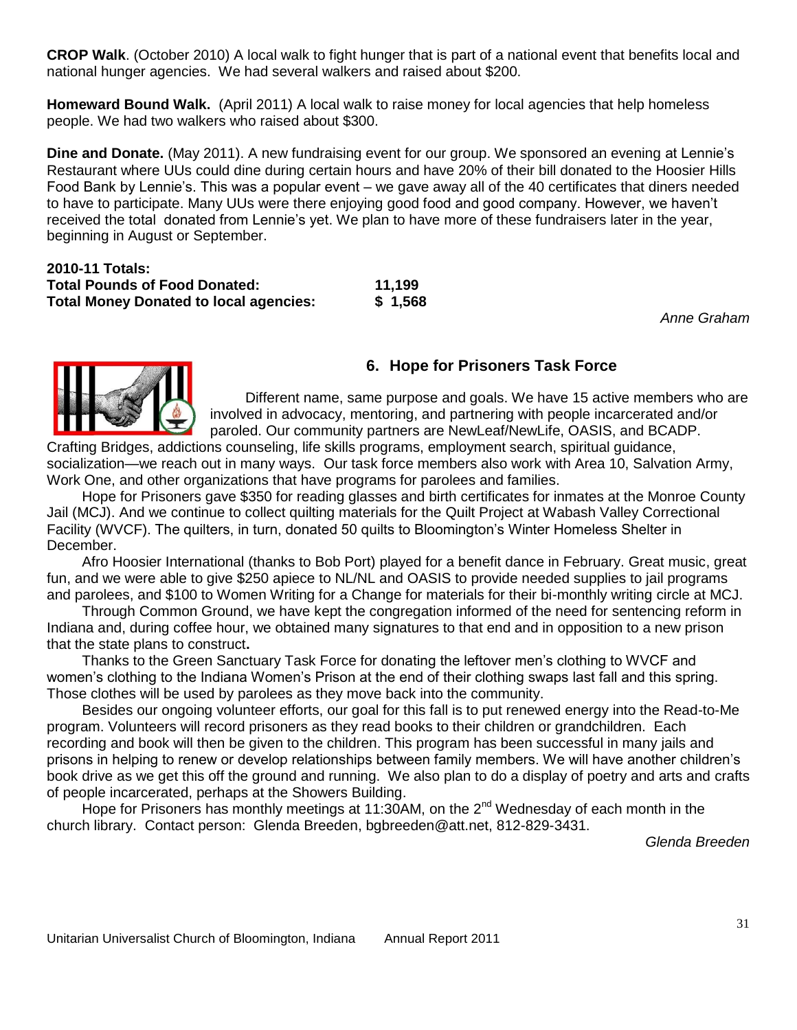**CROP Walk**. (October 2010) A local walk to fight hunger that is part of a national event that benefits local and national hunger agencies. We had several walkers and raised about \$200.

**Homeward Bound Walk.** (April 2011) A local walk to raise money for local agencies that help homeless people. We had two walkers who raised about \$300.

**Dine and Donate.** (May 2011). A new fundraising event for our group. We sponsored an evening at Lennie's Restaurant where UUs could dine during certain hours and have 20% of their bill donated to the Hoosier Hills Food Bank by Lennie's. This was a popular event – we gave away all of the 40 certificates that diners needed to have to participate. Many UUs were there enjoying good food and good company. However, we haven't received the total donated from Lennie's yet. We plan to have more of these fundraisers later in the year, beginning in August or September.

| 2010-11 Totals:                               |         |
|-----------------------------------------------|---------|
| <b>Total Pounds of Food Donated:</b>          | 11.199  |
| <b>Total Money Donated to local agencies:</b> | \$1,568 |

*Anne Graham*



### **6. Hope for Prisoners Task Force**

Different name, same purpose and goals. We have 15 active members who are involved in advocacy, mentoring, and partnering with people incarcerated and/or paroled. Our community partners are NewLeaf/NewLife, OASIS, and BCADP.

Crafting Bridges, addictions counseling, life skills programs, employment search, spiritual guidance, socialization—we reach out in many ways. Our task force members also work with Area 10, Salvation Army, Work One, and other organizations that have programs for parolees and families.

Hope for Prisoners gave \$350 for reading glasses and birth certificates for inmates at the Monroe County Jail (MCJ). And we continue to collect quilting materials for the Quilt Project at Wabash Valley Correctional Facility (WVCF). The quilters, in turn, donated 50 quilts to Bloomington's Winter Homeless Shelter in December.

Afro Hoosier International (thanks to Bob Port) played for a benefit dance in February. Great music, great fun, and we were able to give \$250 apiece to NL/NL and OASIS to provide needed supplies to jail programs and parolees, and \$100 to Women Writing for a Change for materials for their bi-monthly writing circle at MCJ.

Through Common Ground, we have kept the congregation informed of the need for sentencing reform in Indiana and, during coffee hour, we obtained many signatures to that end and in opposition to a new prison that the state plans to construct**.**

Thanks to the Green Sanctuary Task Force for donating the leftover men's clothing to WVCF and women's clothing to the Indiana Women's Prison at the end of their clothing swaps last fall and this spring. Those clothes will be used by parolees as they move back into the community.

Besides our ongoing volunteer efforts, our goal for this fall is to put renewed energy into the Read-to-Me program. Volunteers will record prisoners as they read books to their children or grandchildren. Each recording and book will then be given to the children. This program has been successful in many jails and prisons in helping to renew or develop relationships between family members. We will have another children's book drive as we get this off the ground and running. We also plan to do a display of poetry and arts and crafts of people incarcerated, perhaps at the Showers Building.

Hope for Prisoners has monthly meetings at 11:30AM, on the  $2^{nd}$  Wednesday of each month in the church library. Contact person: Glenda Breeden, bgbreeden@att.net, 812-829-3431.

*Glenda Breeden*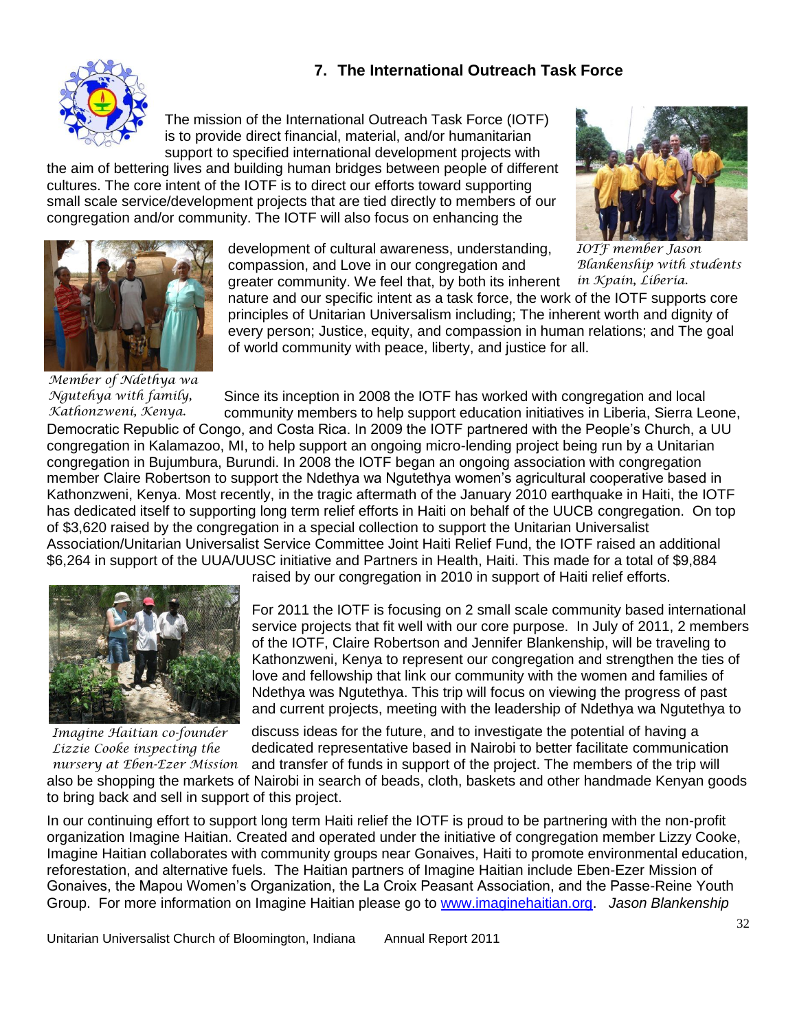### **7. The International Outreach Task Force**



The mission of the International Outreach Task Force (IOTF) is to provide direct financial, material, and/or humanitarian support to specified international development projects with

the aim of bettering lives and building human bridges between people of different cultures. The core intent of the IOTF is to direct our efforts toward supporting small scale service/development projects that are tied directly to members of our congregation and/or community. The IOTF will also focus on enhancing the



*IOTF member Jason Blankenship with students in Kpain, Liberia.*



development of cultural awareness, understanding, compassion, and Love in our congregation and greater community. We feel that, by both its inherent

nature and our specific intent as a task force, the work of the IOTF supports core principles of Unitarian Universalism including; The inherent worth and dignity of every person; Justice, equity, and compassion in human relations; and The goal of world community with peace, liberty, and justice for all.

*Member of Ndethya wa Ngutehya with family, Kathonzweni, Kenya.*

Since its inception in 2008 the IOTF has worked with congregation and local community members to help support education initiatives in Liberia, Sierra Leone,

Democratic Republic of Congo, and Costa Rica. In 2009 the IOTF partnered with the People's Church, a UU congregation in Kalamazoo, MI, to help support an ongoing micro-lending project being run by a Unitarian congregation in Bujumbura, Burundi. In 2008 the IOTF began an ongoing association with congregation member Claire Robertson to support the Ndethya wa Ngutethya women's agricultural cooperative based in Kathonzweni, Kenya. Most recently, in the tragic aftermath of the January 2010 earthquake in Haiti, the IOTF has dedicated itself to supporting long term relief efforts in Haiti on behalf of the UUCB congregation. On top of \$3,620 raised by the congregation in a special collection to support the Unitarian Universalist Association/Unitarian Universalist Service Committee Joint Haiti Relief Fund, the IOTF raised an additional \$6,264 in support of the UUA/UUSC initiative and Partners in Health, Haiti. This made for a total of \$9,884



*Imagine Haitian co-founder Lizzie Cooke inspecting the nursery at Eben-Ezer Mission*

raised by our congregation in 2010 in support of Haiti relief efforts.

For 2011 the IOTF is focusing on 2 small scale community based international service projects that fit well with our core purpose. In July of 2011, 2 members of the IOTF, Claire Robertson and Jennifer Blankenship, will be traveling to Kathonzweni, Kenya to represent our congregation and strengthen the ties of love and fellowship that link our community with the women and families of Ndethya was Ngutethya. This trip will focus on viewing the progress of past and current projects, meeting with the leadership of Ndethya wa Ngutethya to

discuss ideas for the future, and to investigate the potential of having a dedicated representative based in Nairobi to better facilitate communication and transfer of funds in support of the project. The members of the trip will also be shopping the markets of Nairobi in search of beads, cloth, baskets and other handmade Kenyan goods to bring back and sell in support of this project.

In our continuing effort to support long term Haiti relief the IOTF is proud to be partnering with the non-profit *the general manager*. organization Imagine Haitian. Created and operated under the initiative of congregation member Lizzy Cooke, Imagine Haitian collaborates with community groups near Gonaives, Haiti to promote environmental education, reforestation, and alternative fuels. The Haitian partners of Imagine Haitian include Eben-Ezer Mission of Gonaives, the Mapou Women's Organization, the La Croix Peasant Association, and the Passe-Reine Youth Group. For more information on Imagine Haitian please go to [www.imaginehaitian.org.](http://www.imaginehaitian.org/) *Jason Blankenship*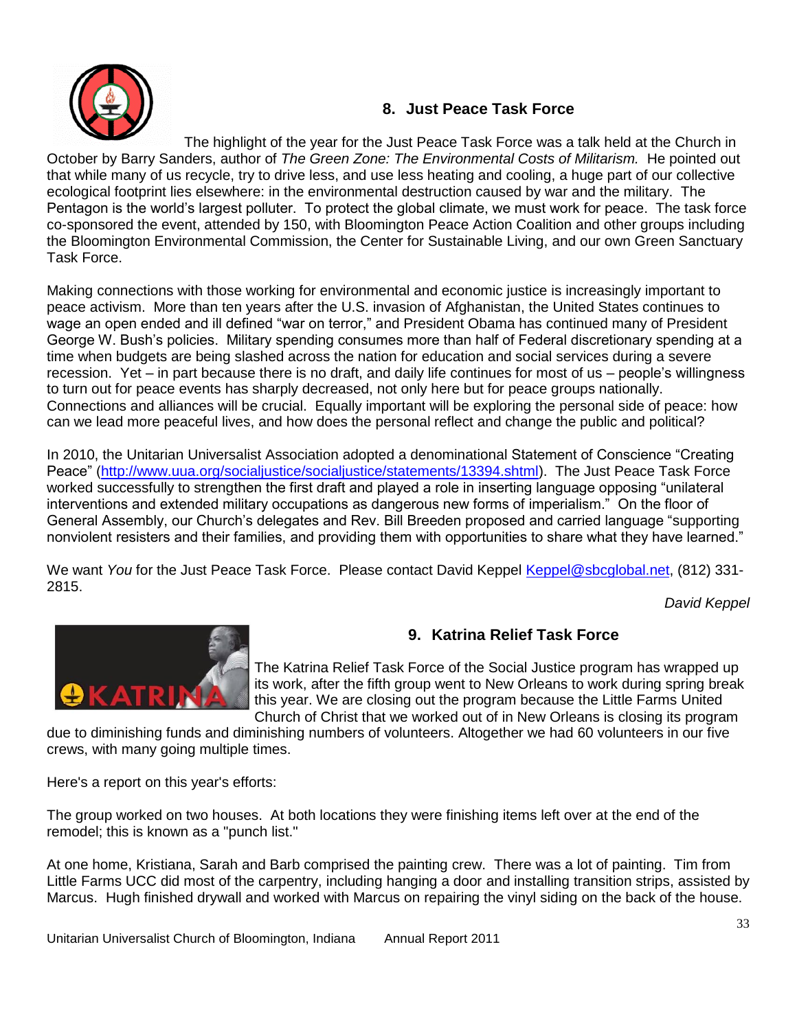

### **8. Just Peace Task Force**

The highlight of the year for the Just Peace Task Force was a talk held at the Church in October by Barry Sanders, author of *The Green Zone: The Environmental Costs of Militarism.* He pointed out that while many of us recycle, try to drive less, and use less heating and cooling, a huge part of our collective ecological footprint lies elsewhere: in the environmental destruction caused by war and the military. The Pentagon is the world's largest polluter. To protect the global climate, we must work for peace. The task force co-sponsored the event, attended by 150, with Bloomington Peace Action Coalition and other groups including the Bloomington Environmental Commission, the Center for Sustainable Living, and our own Green Sanctuary Task Force.

Making connections with those working for environmental and economic justice is increasingly important to peace activism. More than ten years after the U.S. invasion of Afghanistan, the United States continues to wage an open ended and ill defined "war on terror," and President Obama has continued many of President George W. Bush's policies. Military spending consumes more than half of Federal discretionary spending at a time when budgets are being slashed across the nation for education and social services during a severe recession. Yet – in part because there is no draft, and daily life continues for most of us – people's willingness to turn out for peace events has sharply decreased, not only here but for peace groups nationally. Connections and alliances will be crucial. Equally important will be exploring the personal side of peace: how can we lead more peaceful lives, and how does the personal reflect and change the public and political?

In 2010, the Unitarian Universalist Association adopted a denominational Statement of Conscience "Creating Peace" [\(http://www.uua.org/socialjustice/socialjustice/statements/13394.shtml\)](http://www.uua.org/socialjustice/socialjustice/statements/13394.shtml). The Just Peace Task Force worked successfully to strengthen the first draft and played a role in inserting language opposing "unilateral interventions and extended military occupations as dangerous new forms of imperialism." On the floor of General Assembly, our Church's delegates and Rev. Bill Breeden proposed and carried language "supporting nonviolent resisters and their families, and providing them with opportunities to share what they have learned."

We want *You* for the Just Peace Task Force. Please contact David Keppel [Keppel@sbcglobal.net,](mailto:Keppel@sbcglobal.net) (812) 331-2815.

*David Keppel*



## **9. Katrina Relief Task Force**

The Katrina Relief Task Force of the Social Justice program has wrapped up its work, after the fifth group went to New Orleans to work during spring break this year. We are closing out the program because the Little Farms United Church of Christ that we worked out of in New Orleans is closing its program

due to diminishing funds and diminishing numbers of volunteers. Altogether we had 60 volunteers in our five crews, with many going multiple times.

Here's a report on this year's efforts:

The group worked on two houses. At both locations they were finishing items left over at the end of the remodel; this is known as a "punch list."

At one home, Kristiana, Sarah and Barb comprised the painting crew. There was a lot of painting. Tim from Little Farms UCC did most of the carpentry, including hanging a door and installing transition strips, assisted by Marcus. Hugh finished drywall and worked with Marcus on repairing the vinyl siding on the back of the house.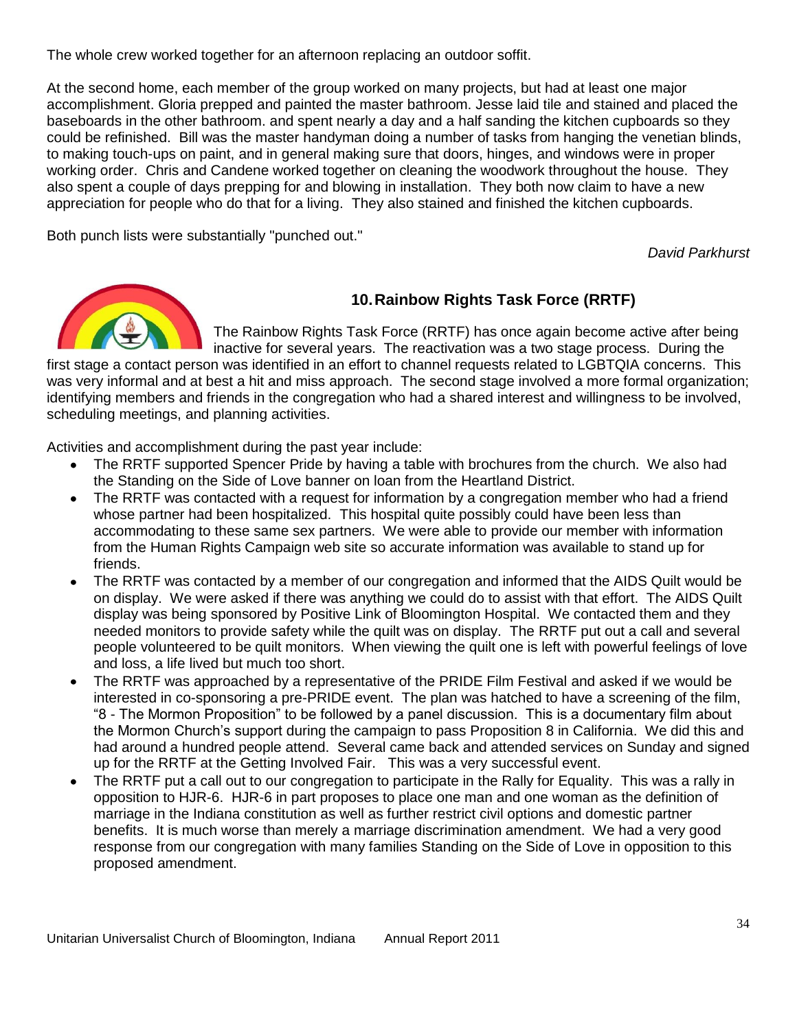The whole crew worked together for an afternoon replacing an outdoor soffit.

At the second home, each member of the group worked on many projects, but had at least one major accomplishment. Gloria prepped and painted the master bathroom. Jesse laid tile and stained and placed the baseboards in the other bathroom. and spent nearly a day and a half sanding the kitchen cupboards so they could be refinished. Bill was the master handyman doing a number of tasks from hanging the venetian blinds, to making touch-ups on paint, and in general making sure that doors, hinges, and windows were in proper working order. Chris and Candene worked together on cleaning the woodwork throughout the house. They also spent a couple of days prepping for and blowing in installation. They both now claim to have a new appreciation for people who do that for a living. They also stained and finished the kitchen cupboards.

Both punch lists were substantially "punched out."

*David Parkhurst*



### **10.Rainbow Rights Task Force (RRTF)**

The Rainbow Rights Task Force (RRTF) has once again become active after being inactive for several years. The reactivation was a two stage process. During the

first stage a contact person was identified in an effort to channel requests related to LGBTQIA concerns. This was very informal and at best a hit and miss approach. The second stage involved a more formal organization; identifying members and friends in the congregation who had a shared interest and willingness to be involved, scheduling meetings, and planning activities.

Activities and accomplishment during the past year include:

- The RRTF supported Spencer Pride by having a table with brochures from the church. We also had  $\bullet$ the Standing on the Side of Love banner on loan from the Heartland District.
- The RRTF was contacted with a request for information by a congregation member who had a friend whose partner had been hospitalized. This hospital quite possibly could have been less than accommodating to these same sex partners. We were able to provide our member with information from the Human Rights Campaign web site so accurate information was available to stand up for friends.
- The RRTF was contacted by a member of our congregation and informed that the AIDS Quilt would be on display. We were asked if there was anything we could do to assist with that effort. The AIDS Quilt display was being sponsored by Positive Link of Bloomington Hospital. We contacted them and they needed monitors to provide safety while the quilt was on display. The RRTF put out a call and several people volunteered to be quilt monitors. When viewing the quilt one is left with powerful feelings of love and loss, a life lived but much too short.
- The RRTF was approached by a representative of the PRIDE Film Festival and asked if we would be  $\bullet$ interested in co-sponsoring a pre-PRIDE event. The plan was hatched to have a screening of the film, "8 - The Mormon Proposition" to be followed by a panel discussion. This is a documentary film about the Mormon Church's support during the campaign to pass Proposition 8 in California. We did this and had around a hundred people attend. Several came back and attended services on Sunday and signed up for the RRTF at the Getting Involved Fair. This was a very successful event.
- The RRTF put a call out to our congregation to participate in the Rally for Equality. This was a rally in opposition to HJR-6. HJR-6 in part proposes to place one man and one woman as the definition of marriage in the Indiana constitution as well as further restrict civil options and domestic partner benefits. It is much worse than merely a marriage discrimination amendment. We had a very good response from our congregation with many families Standing on the Side of Love in opposition to this proposed amendment.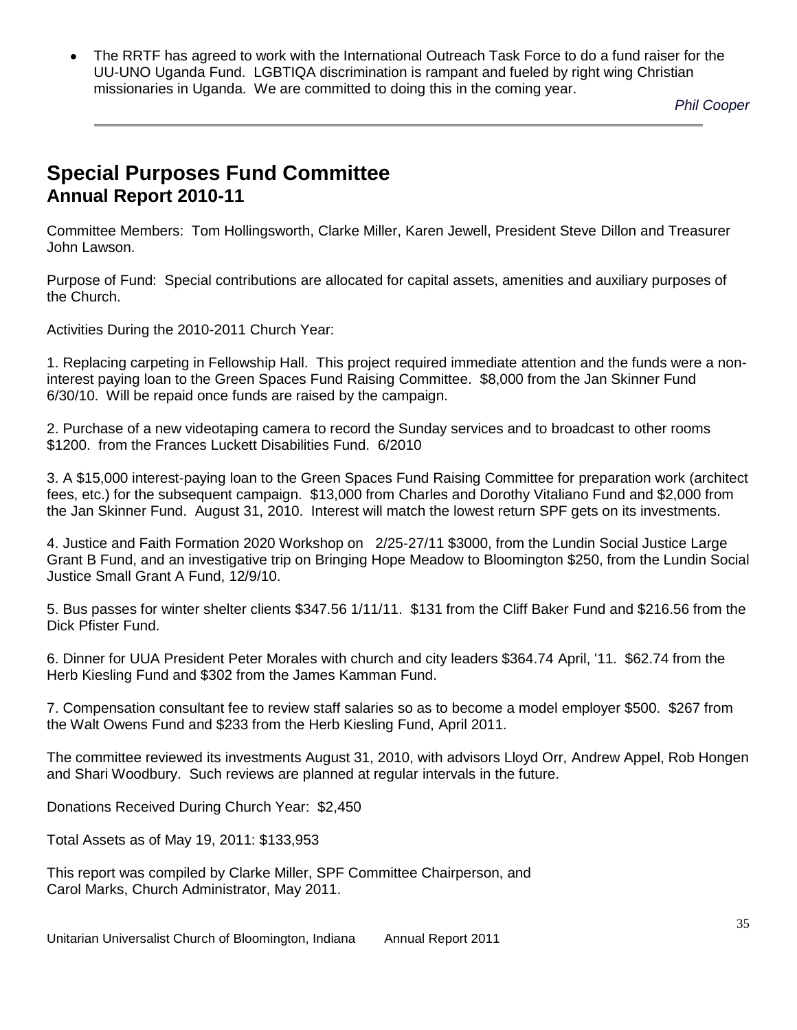The RRTF has agreed to work with the International Outreach Task Force to do a fund raiser for the UU-UNO Uganda Fund. LGBTIQA discrimination is rampant and fueled by right wing Christian missionaries in Uganda. We are committed to doing this in the coming year.

*Phil Cooper*

# **Special Purposes Fund Committee Annual Report 2010-11**

Committee Members: Tom Hollingsworth, Clarke Miller, Karen Jewell, President Steve Dillon and Treasurer John Lawson.

Purpose of Fund: Special contributions are allocated for capital assets, amenities and auxiliary purposes of the Church.

Activities During the 2010-2011 Church Year:

1. Replacing carpeting in Fellowship Hall. This project required immediate attention and the funds were a noninterest paying loan to the Green Spaces Fund Raising Committee. \$8,000 from the Jan Skinner Fund 6/30/10. Will be repaid once funds are raised by the campaign.

2. Purchase of a new videotaping camera to record the Sunday services and to broadcast to other rooms \$1200. from the Frances Luckett Disabilities Fund. 6/2010

3. A \$15,000 interest-paying loan to the Green Spaces Fund Raising Committee for preparation work (architect fees, etc.) for the subsequent campaign. \$13,000 from Charles and Dorothy Vitaliano Fund and \$2,000 from the Jan Skinner Fund. August 31, 2010. Interest will match the lowest return SPF gets on its investments.

4. Justice and Faith Formation 2020 Workshop on 2/25-27/11 \$3000, from the Lundin Social Justice Large Grant B Fund, and an investigative trip on Bringing Hope Meadow to Bloomington \$250, from the Lundin Social Justice Small Grant A Fund, 12/9/10.

5. Bus passes for winter shelter clients \$347.56 1/11/11. \$131 from the Cliff Baker Fund and \$216.56 from the Dick Pfister Fund.

6. Dinner for UUA President Peter Morales with church and city leaders \$364.74 April, '11. \$62.74 from the Herb Kiesling Fund and \$302 from the James Kamman Fund.

7. Compensation consultant fee to review staff salaries so as to become a model employer \$500. \$267 from the Walt Owens Fund and \$233 from the Herb Kiesling Fund, April 2011.

The committee reviewed its investments August 31, 2010, with advisors Lloyd Orr, Andrew Appel, Rob Hongen and Shari Woodbury. Such reviews are planned at regular intervals in the future.

Donations Received During Church Year: \$2,450

Total Assets as of May 19, 2011: \$133,953

This report was compiled by Clarke Miller, SPF Committee Chairperson, and Carol Marks, Church Administrator, May 2011.